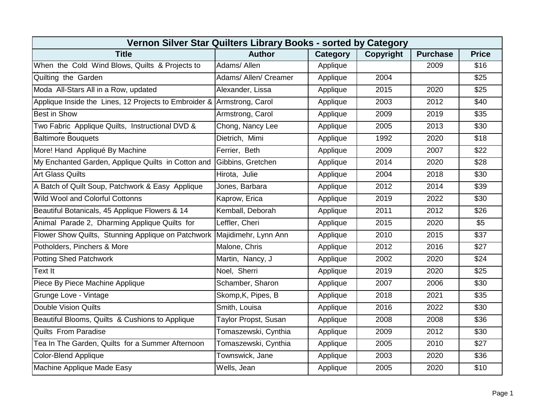| Vernon Silver Star Quilters Library Books - sorted by Category          |                       |          |           |                 |                  |  |  |  |
|-------------------------------------------------------------------------|-----------------------|----------|-----------|-----------------|------------------|--|--|--|
| <b>Title</b>                                                            | <b>Author</b>         | Category | Copyright | <b>Purchase</b> | <b>Price</b>     |  |  |  |
| When the Cold Wind Blows, Quilts & Projects to                          | Adams/ Allen          | Applique |           | 2009            | \$16             |  |  |  |
| Quilting the Garden                                                     | Adams/ Allen/ Creamer | Applique | 2004      |                 | \$25             |  |  |  |
| Moda All-Stars All in a Row, updated                                    | Alexander, Lissa      | Applique | 2015      | 2020            | \$25             |  |  |  |
| Applique Inside the Lines, 12 Projects to Embroider & Armstrong, Carol  |                       | Applique | 2003      | 2012            | $\overline{$40}$ |  |  |  |
| <b>Best in Show</b>                                                     | Armstrong, Carol      | Applique | 2009      | 2019            | \$35             |  |  |  |
| Two Fabric Applique Quilts, Instructional DVD &                         | Chong, Nancy Lee      | Applique | 2005      | 2013            | \$30             |  |  |  |
| <b>Baltimore Bouquets</b>                                               | Dietrich, Mimi        | Applique | 1992      | 2020            | \$18             |  |  |  |
| More! Hand Appliqué By Machine                                          | Ferrier, Beth         | Applique | 2009      | 2007            | \$22             |  |  |  |
| My Enchanted Garden, Applique Quilts in Cotton and                      | Gibbins, Gretchen     | Applique | 2014      | 2020            | \$28             |  |  |  |
| <b>Art Glass Quilts</b>                                                 | Hirota, Julie         | Applique | 2004      | 2018            | \$30             |  |  |  |
| A Batch of Quilt Soup, Patchwork & Easy Applique                        | Jones, Barbara        | Applique | 2012      | 2014            | \$39             |  |  |  |
| <b>Wild Wool and Colorful Cottonns</b>                                  | Kaprow, Erica         | Applique | 2019      | 2022            | \$30             |  |  |  |
| Beautiful Botanicals, 45 Applique Flowers & 14                          | Kemball, Deborah      | Applique | 2011      | 2012            | \$26             |  |  |  |
| Animal Parade 2, Dharming Applique Quilts for                           | Leffler, Cheri        | Applique | 2015      | 2020            | \$5              |  |  |  |
| Flower Show Quilts, Stunning Applique on Patchwork Majidimehr, Lynn Ann |                       | Applique | 2010      | 2015            | \$37             |  |  |  |
| Potholders, Pinchers & More                                             | Malone, Chris         | Applique | 2012      | 2016            | \$27             |  |  |  |
| <b>Potting Shed Patchwork</b>                                           | Martin, Nancy, J      | Applique | 2002      | 2020            | \$24             |  |  |  |
| Text It                                                                 | Noel, Sherri          | Applique | 2019      | 2020            | \$25             |  |  |  |
| Piece By Piece Machine Applique                                         | Schamber, Sharon      | Applique | 2007      | 2006            | \$30             |  |  |  |
| Grunge Love - Vintage                                                   | Skomp, K, Pipes, B    | Applique | 2018      | 2021            | \$35             |  |  |  |
| <b>Double Vision Quilts</b>                                             | Smith, Louisa         | Applique | 2016      | 2022            | \$30             |  |  |  |
| Beautiful Blooms, Quilts & Cushions to Applique                         | Taylor Propst, Susan  | Applique | 2008      | 2008            | \$36             |  |  |  |
| <b>Quilts From Paradise</b>                                             | Tomaszewski, Cynthia  | Applique | 2009      | 2012            | \$30             |  |  |  |
| Tea In The Garden, Quilts for a Summer Afternoon                        | Tomaszewski, Cynthia  | Applique | 2005      | 2010            | \$27             |  |  |  |
| <b>Color-Blend Applique</b>                                             | Townswick, Jane       | Applique | 2003      | 2020            | \$36             |  |  |  |
| Machine Applique Made Easy                                              | Wells, Jean           | Applique | 2005      | 2020            | \$10             |  |  |  |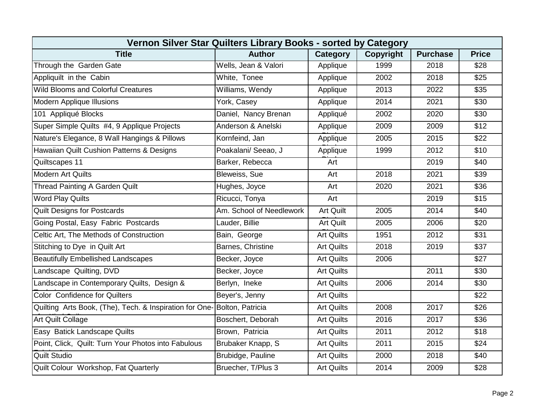| Vernon Silver Star Quilters Library Books - sorted by Category          |                          |                   |           |                 |              |  |  |  |
|-------------------------------------------------------------------------|--------------------------|-------------------|-----------|-----------------|--------------|--|--|--|
| <b>Title</b>                                                            | <b>Author</b>            | <b>Category</b>   | Copyright | <b>Purchase</b> | <b>Price</b> |  |  |  |
| Through the Garden Gate                                                 | Wells, Jean & Valori     | Applique          | 1999      | 2018            | \$28         |  |  |  |
| Appliquilt in the Cabin                                                 | White, Tonee             | Applique          | 2002      | 2018            | \$25         |  |  |  |
| <b>Wild Blooms and Colorful Creatures</b>                               | Williams, Wendy          | Applique          | 2013      | 2022            | \$35         |  |  |  |
| <b>Modern Applique Illusions</b>                                        | York, Casey              | Applique          | 2014      | 2021            | \$30         |  |  |  |
| 101 Appliqué Blocks                                                     | Daniel, Nancy Brenan     | Appliqué          | 2002      | 2020            | \$30         |  |  |  |
| Super Simple Quilts #4, 9 Applique Projects                             | Anderson & Anelski       | Applique          | 2009      | 2009            | \$12         |  |  |  |
| Nature's Elegance, 8 Wall Hangings & Pillows                            | Kornfeind, Jan           | Applique          | 2005      | 2015            | \$22         |  |  |  |
| Hawaiian Quilt Cushion Patterns & Designs                               | Poakalani/ Seeao, J      | Applique          | 1999      | 2012            | \$10         |  |  |  |
| Quiltscapes 11                                                          | Barker, Rebecca          | Art               |           | 2019            | \$40         |  |  |  |
| <b>Modern Art Quilts</b>                                                | Bleweiss, Sue            | Art               | 2018      | 2021            | \$39         |  |  |  |
| <b>Thread Painting A Garden Quilt</b>                                   | Hughes, Joyce            | Art               | 2020      | 2021            | \$36         |  |  |  |
| <b>Word Play Quilts</b>                                                 | Ricucci, Tonya           | Art               |           | 2019            | \$15         |  |  |  |
| <b>Quilt Designs for Postcards</b>                                      | Am. School of Needlework | <b>Art Quilt</b>  | 2005      | 2014            | \$40         |  |  |  |
| Going Postal, Easy Fabric Postcards                                     | Lauder, Billie           | <b>Art Quilt</b>  | 2005      | 2006            | \$20         |  |  |  |
| Celtic Art, The Methods of Construction                                 | Bain, George             | <b>Art Quilts</b> | 1951      | 2012            | \$31         |  |  |  |
| Stitching to Dye in Quilt Art                                           | Barnes, Christine        | <b>Art Quilts</b> | 2018      | 2019            | \$37         |  |  |  |
| <b>Beautifully Embellished Landscapes</b>                               | Becker, Joyce            | <b>Art Quilts</b> | 2006      |                 | \$27         |  |  |  |
| Landscape Quilting, DVD                                                 | Becker, Joyce            | <b>Art Quilts</b> |           | 2011            | \$30         |  |  |  |
| Landscape in Contemporary Quilts, Design &                              | Berlyn, Ineke            | <b>Art Quilts</b> | 2006      | 2014            | \$30         |  |  |  |
| <b>Color Confidence for Quilters</b>                                    | Beyer's, Jenny           | <b>Art Quilts</b> |           |                 | \$22         |  |  |  |
| Quilting Arts Book, (The), Tech. & Inspiration for One-Bolton, Patricia |                          | <b>Art Quilts</b> | 2008      | 2017            | \$26         |  |  |  |
| <b>Art Quilt Collage</b>                                                | Boschert, Deborah        | <b>Art Quilts</b> | 2016      | 2017            | \$36         |  |  |  |
| Easy Batick Landscape Quilts                                            | Brown, Patricia          | <b>Art Quilts</b> | 2011      | 2012            | \$18         |  |  |  |
| Point, Click, Quilt: Turn Your Photos into Fabulous                     | Brubaker Knapp, S        | <b>Art Quilts</b> | 2011      | 2015            | \$24         |  |  |  |
| <b>Quilt Studio</b>                                                     | Brubidge, Pauline        | <b>Art Quilts</b> | 2000      | 2018            | \$40         |  |  |  |
| Quilt Colour Workshop, Fat Quarterly                                    | Bruecher, T/Plus 3       | <b>Art Quilts</b> | 2014      | 2009            | \$28         |  |  |  |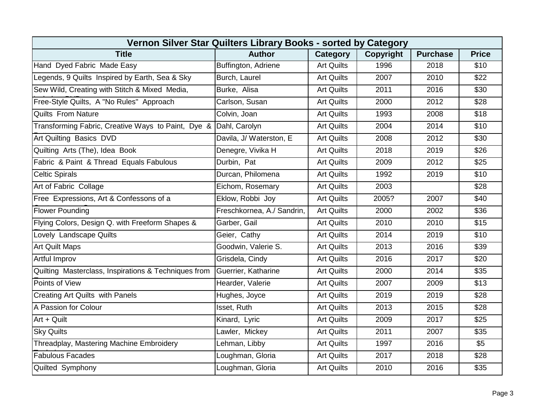| Vernon Silver Star Quilters Library Books - sorted by Category |                            |                   |                  |                 |                  |  |  |  |
|----------------------------------------------------------------|----------------------------|-------------------|------------------|-----------------|------------------|--|--|--|
| <b>Title</b>                                                   | <b>Author</b>              | Category          | <b>Copyright</b> | <b>Purchase</b> | <b>Price</b>     |  |  |  |
| Hand Dyed Fabric Made Easy                                     | Buffington, Adriene        | <b>Art Quilts</b> | 1996             | 2018            | \$10             |  |  |  |
| Legends, 9 Quilts Inspired by Earth, Sea & Sky                 | Burch, Laurel              | <b>Art Quilts</b> | 2007             | 2010            | \$22             |  |  |  |
| Sew Wild, Creating with Stitch & Mixed Media,                  | Burke, Alisa               | <b>Art Quilts</b> | 2011             | 2016            | \$30             |  |  |  |
| Free-Style Quilts, A "No Rules" Approach                       | Carlson, Susan             | <b>Art Quilts</b> | 2000             | 2012            | $\overline{$28}$ |  |  |  |
| <b>Quilts From Nature</b>                                      | Colvin, Joan               | <b>Art Quilts</b> | 1993             | 2008            | \$18             |  |  |  |
| Transforming Fabric, Creative Ways to Paint, Dye &             | Dahl, Carolyn              | <b>Art Quilts</b> | 2004             | 2014            | \$10             |  |  |  |
| Art Quilting Basics DVD                                        | Davila, J/ Waterston, E    | <b>Art Quilts</b> | 2008             | 2012            | \$30             |  |  |  |
| Quilting Arts (The), Idea Book                                 | Denegre, Vivika H          | <b>Art Quilts</b> | 2018             | 2019            | \$26             |  |  |  |
| Fabric & Paint & Thread Equals Fabulous                        | Durbin, Pat                | <b>Art Quilts</b> | 2009             | 2012            | \$25             |  |  |  |
| <b>Celtic Spirals</b>                                          | Durcan, Philomena          | <b>Art Quilts</b> | 1992             | 2019            | \$10             |  |  |  |
| Art of Fabric Collage                                          | Eichom, Rosemary           | <b>Art Quilts</b> | 2003             |                 | \$28             |  |  |  |
| Free Expressions, Art & Confessons of a                        | Eklow, Robbi Joy           | <b>Art Quilts</b> | 2005?            | 2007            | \$40             |  |  |  |
| <b>Flower Pounding</b>                                         | Freschkornea, A./ Sandrin, | <b>Art Quilts</b> | 2000             | 2002            | \$36             |  |  |  |
| Flying Colors, Design Q. with Freeform Shapes &                | Garber, Gail               | <b>Art Quilts</b> | 2010             | 2010            | \$15             |  |  |  |
| Lovely Landscape Quilts                                        | Geier, Cathy               | <b>Art Quilts</b> | 2014             | 2019            | \$10             |  |  |  |
| <b>Art Quilt Maps</b>                                          | Goodwin, Valerie S.        | <b>Art Quilts</b> | 2013             | 2016            | $\overline{$39}$ |  |  |  |
| Artful Improv                                                  | Grisdela, Cindy            | <b>Art Quilts</b> | 2016             | 2017            | \$20             |  |  |  |
| Quilting Masterclass, Inspirations & Techniques from           | Guerrier, Katharine        | <b>Art Quilts</b> | 2000             | 2014            | \$35             |  |  |  |
| Points of View                                                 | Hearder, Valerie           | <b>Art Quilts</b> | 2007             | 2009            | \$13             |  |  |  |
| <b>Creating Art Quilts with Panels</b>                         | Hughes, Joyce              | <b>Art Quilts</b> | 2019             | 2019            | \$28             |  |  |  |
| A Passion for Colour                                           | Isset, Ruth                | <b>Art Quilts</b> | 2013             | 2015            | \$28             |  |  |  |
| Art + Quilt                                                    | Kinard, Lyric              | <b>Art Quilts</b> | 2009             | 2017            | \$25             |  |  |  |
| <b>Sky Quilts</b>                                              | Lawler, Mickey             | <b>Art Quilts</b> | 2011             | 2007            | \$35             |  |  |  |
| Threadplay, Mastering Machine Embroidery                       | Lehman, Libby              | <b>Art Quilts</b> | 1997             | 2016            | \$5              |  |  |  |
| <b>Fabulous Facades</b>                                        | Loughman, Gloria           | <b>Art Quilts</b> | 2017             | 2018            | \$28             |  |  |  |
| Quilted Symphony                                               | Loughman, Gloria           | <b>Art Quilts</b> | 2010             | 2016            | \$35             |  |  |  |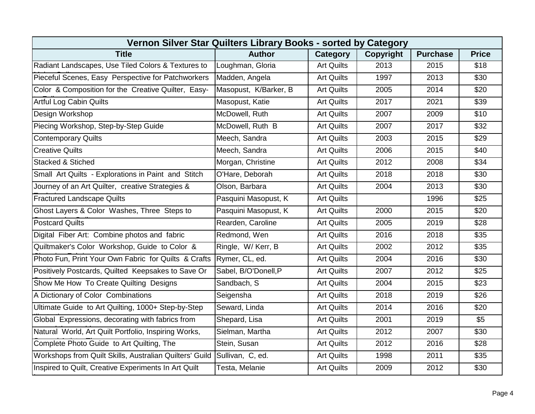| Vernon Silver Star Quilters Library Books - sorted by Category           |                       |                   |                  |                 |              |  |  |  |
|--------------------------------------------------------------------------|-----------------------|-------------------|------------------|-----------------|--------------|--|--|--|
| <b>Title</b>                                                             | <b>Author</b>         | <b>Category</b>   | <b>Copyright</b> | <b>Purchase</b> | <b>Price</b> |  |  |  |
| Radiant Landscapes, Use Tiled Colors & Textures to                       | Loughman, Gloria      | <b>Art Quilts</b> | 2013             | 2015            | \$18         |  |  |  |
| Pieceful Scenes, Easy Perspective for Patchworkers                       | Madden, Angela        | <b>Art Quilts</b> | 1997             | 2013            | \$30         |  |  |  |
| Color & Composition for the Creative Quilter, Easy-                      | Masopust, K/Barker, B | <b>Art Quilts</b> | 2005             | 2014            | \$20         |  |  |  |
| <b>Artful Log Cabin Quilts</b>                                           | Masopust, Katie       | <b>Art Quilts</b> | 2017             | 2021            | \$39         |  |  |  |
| Design Workshop                                                          | McDowell, Ruth        | <b>Art Quilts</b> | 2007             | 2009            | \$10         |  |  |  |
| Piecing Workshop, Step-by-Step Guide                                     | McDowell, Ruth B      | <b>Art Quilts</b> | 2007             | 2017            | \$32         |  |  |  |
| <b>Contemporary Quilts</b>                                               | Meech, Sandra         | <b>Art Quilts</b> | 2003             | 2015            | \$29         |  |  |  |
| <b>Creative Quilts</b>                                                   | Meech, Sandra         | <b>Art Quilts</b> | 2006             | 2015            | \$40         |  |  |  |
| <b>Stacked &amp; Stiched</b>                                             | Morgan, Christine     | <b>Art Quilts</b> | 2012             | 2008            | \$34         |  |  |  |
| Small Art Quilts - Explorations in Paint and Stitch                      | O'Hare, Deborah       | <b>Art Quilts</b> | 2018             | 2018            | \$30         |  |  |  |
| Journey of an Art Quilter, creative Strategies &                         | Olson, Barbara        | <b>Art Quilts</b> | 2004             | 2013            | \$30         |  |  |  |
| <b>Fractured Landscape Quilts</b>                                        | Pasquini Masopust, K  | <b>Art Quilts</b> |                  | 1996            | \$25         |  |  |  |
| Ghost Layers & Color Washes, Three Steps to                              | Pasquini Masopust, K  | <b>Art Quilts</b> | 2000             | 2015            | \$20         |  |  |  |
| <b>Postcard Quilts</b>                                                   | Rearden, Caroline     | <b>Art Quilts</b> | 2005             | 2019            | \$28         |  |  |  |
| Digital Fiber Art: Combine photos and fabric                             | Redmond, Wen          | <b>Art Quilts</b> | 2016             | 2018            | \$35         |  |  |  |
| Quiltmaker's Color Workshop, Guide to Color &                            | Ringle, W/Kerr, B     | <b>Art Quilts</b> | 2002             | 2012            | \$35         |  |  |  |
| Photo Fun, Print Your Own Fabric for Quilts & Crafts                     | Rymer, CL, ed.        | <b>Art Quilts</b> | 2004             | 2016            | \$30         |  |  |  |
| Positively Postcards, Quilted Keepsakes to Save Or                       | Sabel, B/O'Donell, P  | <b>Art Quilts</b> | 2007             | 2012            | \$25         |  |  |  |
| Show Me How To Create Quilting Designs                                   | Sandbach, S           | <b>Art Quilts</b> | 2004             | 2015            | \$23         |  |  |  |
| A Dictionary of Color Combinations                                       | Seigensha             | <b>Art Quilts</b> | 2018             | 2019            | \$26         |  |  |  |
| Ultimate Guide to Art Quilting, 1000+ Step-by-Step                       | Seward, Linda         | <b>Art Quilts</b> | 2014             | 2016            | \$20         |  |  |  |
| Global Expressions, decorating with fabrics from                         | Shepard, Lisa         | <b>Art Quilts</b> | 2001             | 2019            | \$5          |  |  |  |
| Natural World, Art Quilt Portfolio, Inspiring Works,                     | Sielman, Martha       | <b>Art Quilts</b> | 2012             | 2007            | \$30         |  |  |  |
| Complete Photo Guide to Art Quilting, The                                | Stein, Susan          | <b>Art Quilts</b> | 2012             | 2016            | \$28         |  |  |  |
| Workshops from Quilt Skills, Australian Quilters' Guild Sullivan, C, ed. |                       | <b>Art Quilts</b> | 1998             | 2011            | \$35         |  |  |  |
| Inspired to Quilt, Creative Experiments In Art Quilt                     | Testa, Melanie        | <b>Art Quilts</b> | 2009             | 2012            | \$30         |  |  |  |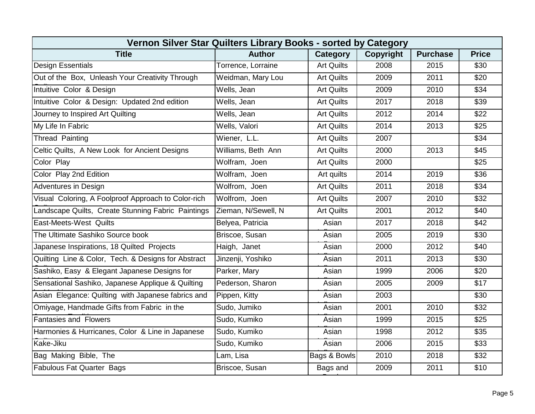| Vernon Silver Star Quilters Library Books - sorted by Category |                     |                   |                  |                 |                  |  |  |  |
|----------------------------------------------------------------|---------------------|-------------------|------------------|-----------------|------------------|--|--|--|
| <b>Title</b>                                                   | <b>Author</b>       | Category          | <b>Copyright</b> | <b>Purchase</b> | <b>Price</b>     |  |  |  |
| <b>Design Essentials</b>                                       | Torrence, Lorraine  | <b>Art Quilts</b> | 2008             | 2015            | \$30             |  |  |  |
| Out of the Box, Unleash Your Creativity Through                | Weidman, Mary Lou   | <b>Art Quilts</b> | 2009             | 2011            | \$20             |  |  |  |
| Intuitive Color & Design                                       | Wells, Jean         | <b>Art Quilts</b> | 2009             | 2010            | \$34             |  |  |  |
| Intuitive Color & Design: Updated 2nd edition                  | Wells, Jean         | <b>Art Quilts</b> | 2017             | 2018            | \$39             |  |  |  |
| Journey to Inspired Art Quilting                               | Wells, Jean         | <b>Art Quilts</b> | 2012             | 2014            | \$22             |  |  |  |
| My Life In Fabric                                              | Wells, Valori       | <b>Art Quilts</b> | 2014             | 2013            | \$25             |  |  |  |
| <b>Thread Painting</b>                                         | Wiener, L.L.        | <b>Art Quilts</b> | 2007             |                 | \$34             |  |  |  |
| Celtic Quilts, A New Look for Ancient Designs                  | Williams, Beth Ann  | <b>Art Quilts</b> | 2000             | 2013            | \$45             |  |  |  |
| Color Play                                                     | Wolfram, Joen       | <b>Art Quilts</b> | 2000             |                 | \$25             |  |  |  |
| Color Play 2nd Edition                                         | Wolfram, Joen       | Art quilts        | 2014             | 2019            | \$36             |  |  |  |
| Adventures in Design                                           | Wolfrom, Joen       | <b>Art Quilts</b> | 2011             | 2018            | \$34             |  |  |  |
| Visual Coloring, A Foolproof Approach to Color-rich            | Wolfrom, Joen       | <b>Art Quilts</b> | 2007             | 2010            | \$32             |  |  |  |
| Landscape Quilts, Create Stunning Fabric Paintings             | Zieman, N/Sewell, N | <b>Art Quilts</b> | 2001             | 2012            | \$40             |  |  |  |
| <b>East-Meets-West Quilts</b>                                  | Belyea, Patricia    | Asian             | 2017             | 2018            | \$42             |  |  |  |
| The Ultimate Sashiko Source book                               | Briscoe, Susan      | Asian             | 2005             | 2019            | \$30             |  |  |  |
| Japanese Inspirations, 18 Quilted Projects                     | Haigh, Janet        | Asian             | 2000             | 2012            | \$40             |  |  |  |
| Quilting Line & Color, Tech. & Designs for Abstract            | Jinzenji, Yoshiko   | Asian             | 2011             | 2013            | \$30             |  |  |  |
| Sashiko, Easy & Elegant Japanese Designs for                   | Parker, Mary        | Asian             | 1999             | 2006            | \$20             |  |  |  |
| Sensational Sashiko, Japanese Applique & Quilting              | Pederson, Sharon    | Asian             | 2005             | 2009            | $\overline{$17}$ |  |  |  |
| Asian Elegance: Quilting with Japanese fabrics and             | Pippen, Kitty       | Asian             | 2003             |                 | \$30             |  |  |  |
| Omiyage, Handmade Gifts from Fabric in the                     | Sudo, Jumiko        | Asian             | 2001             | 2010            | \$32             |  |  |  |
| <b>Fantasies and Flowers</b>                                   | Sudo, Kumiko        | Asian             | 1999             | 2015            | \$25             |  |  |  |
| Harmonies & Hurricanes, Color & Line in Japanese               | Sudo, Kumiko        | Asian             | 1998             | 2012            | \$35             |  |  |  |
| Kake-Jiku                                                      | Sudo, Kumiko        | Asian             | 2006             | 2015            | \$33             |  |  |  |
| Bag Making Bible, The                                          | Lam, Lisa           | Bags & Bowls      | 2010             | 2018            | \$32             |  |  |  |
| <b>Fabulous Fat Quarter Bags</b>                               | Briscoe, Susan      | Bags and          | 2009             | 2011            | \$10             |  |  |  |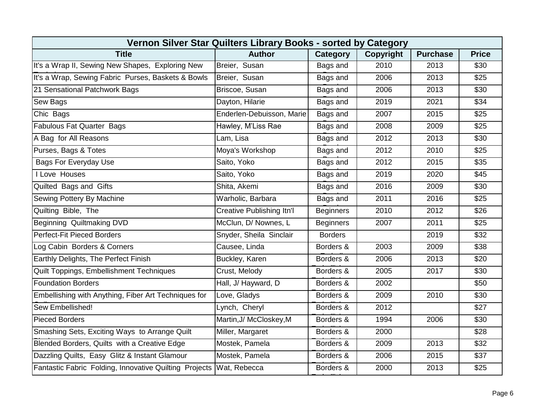| Vernon Silver Star Quilters Library Books - sorted by Category |                                  |                  |                  |                 |              |  |  |  |
|----------------------------------------------------------------|----------------------------------|------------------|------------------|-----------------|--------------|--|--|--|
| <b>Title</b>                                                   | <b>Author</b>                    | <b>Category</b>  | <b>Copyright</b> | <b>Purchase</b> | <b>Price</b> |  |  |  |
| It's a Wrap II, Sewing New Shapes, Exploring New               | Breier, Susan                    | Bags and         | 2010             | 2013            | \$30         |  |  |  |
| It's a Wrap, Sewing Fabric Purses, Baskets & Bowls             | Breier, Susan                    | Bags and         | 2006             | 2013            | \$25         |  |  |  |
| 21 Sensational Patchwork Bags                                  | Briscoe, Susan                   | Bags and         | 2006             | 2013            | \$30         |  |  |  |
| <b>Sew Bags</b>                                                | Dayton, Hilarie                  | Bags and         | 2019             | 2021            | \$34         |  |  |  |
| Chic Bags                                                      | Enderlen-Debuisson, Marie        | Bags and         | 2007             | 2015            | \$25         |  |  |  |
| <b>Fabulous Fat Quarter Bags</b>                               | Hawley, M'Liss Rae               | Bags and         | 2008             | 2009            | \$25         |  |  |  |
| A Bag for All Reasons                                          | Lam, Lisa                        | Bags and         | 2012             | 2013            | \$30         |  |  |  |
| Purses, Bags & Totes                                           | Moya's Workshop                  | Bags and         | 2012             | 2010            | \$25         |  |  |  |
| <b>Bags For Everyday Use</b>                                   | Saito, Yoko                      | Bags and         | 2012             | 2015            | \$35         |  |  |  |
| I Love Houses                                                  | Saito, Yoko                      | Bags and         | 2019             | 2020            | \$45         |  |  |  |
| Quilted Bags and Gifts                                         | Shita, Akemi                     | Bags and         | 2016             | 2009            | \$30         |  |  |  |
| Sewing Pottery By Machine                                      | Warholic, Barbara                | Bags and         | 2011             | 2016            | \$25         |  |  |  |
| Quilting Bible, The                                            | <b>Creative Publishing Itn'l</b> | <b>Beginners</b> | 2010             | 2012            | \$26         |  |  |  |
| Beginning Quiltmaking DVD                                      | McClun, D/ Nownes, L             | <b>Beginners</b> | 2007             | 2011            | \$25         |  |  |  |
| Perfect-Fit Pieced Borders                                     | Snyder, Sheila Sinclair          | <b>Borders</b>   |                  | 2019            | \$32         |  |  |  |
| Log Cabin Borders & Corners                                    | Causee, Linda                    | Borders &        | 2003             | 2009            | \$38         |  |  |  |
| Earthly Delights, The Perfect Finish                           | Buckley, Karen                   | Borders &        | 2006             | 2013            | \$20         |  |  |  |
| Quilt Toppings, Embellishment Techniques                       | Crust, Melody                    | Borders &        | 2005             | 2017            | \$30         |  |  |  |
| <b>Foundation Borders</b>                                      | Hall, J/ Hayward, D              | Borders &        | 2002             |                 | \$50         |  |  |  |
| Embellishing with Anything, Fiber Art Techniques for           | Love, Gladys                     | Borders &        | 2009             | 2010            | \$30         |  |  |  |
| Sew Embellished!                                               | Lynch, Cheryl                    | Borders &        | 2012             |                 | \$27         |  |  |  |
| <b>Pieced Borders</b>                                          | Martin, J/ McCloskey, M          | Borders &        | 1994             | 2006            | \$30         |  |  |  |
| Smashing Sets, Exciting Ways to Arrange Quilt                  | Miller, Margaret                 | Borders &        | 2000             |                 | \$28         |  |  |  |
| Blended Borders, Quilts with a Creative Edge                   | Mostek, Pamela                   | Borders &        | 2009             | 2013            | \$32         |  |  |  |
| Dazzling Quilts, Easy Glitz & Instant Glamour                  | Mostek, Pamela                   | Borders &        | 2006             | 2015            | \$37         |  |  |  |
| Fantastic Fabric Folding, Innovative Quilting Projects         | Wat, Rebecca                     | Borders &        | 2000             | 2013            | \$25         |  |  |  |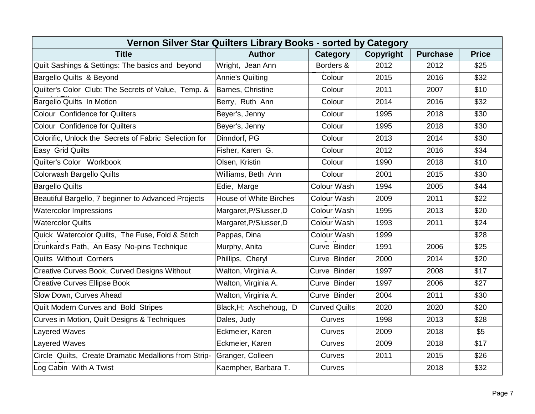| Vernon Silver Star Quilters Library Books - sorted by Category |                               |                      |                  |                 |              |  |  |  |
|----------------------------------------------------------------|-------------------------------|----------------------|------------------|-----------------|--------------|--|--|--|
| <b>Title</b>                                                   | <b>Author</b>                 | Category             | <b>Copyright</b> | <b>Purchase</b> | <b>Price</b> |  |  |  |
| Quilt Sashings & Settings: The basics and beyond               | Wright, Jean Ann              | Borders &            | 2012             | 2012            | \$25         |  |  |  |
| Bargello Quilts & Beyond                                       | <b>Annie's Quilting</b>       | Colour               | 2015             | 2016            | \$32         |  |  |  |
| Quilter's Color Club: The Secrets of Value, Temp. &            | Barnes, Christine             | Colour               | 2011             | 2007            | \$10         |  |  |  |
| Bargello Quilts In Motion                                      | Berry, Ruth Ann               | Colour               | 2014             | 2016            | \$32         |  |  |  |
| <b>Colour Confidence for Quilters</b>                          | Beyer's, Jenny                | Colour               | 1995             | 2018            | \$30         |  |  |  |
| <b>Colour Confidence for Quilters</b>                          | Beyer's, Jenny                | Colour               | 1995             | 2018            | \$30         |  |  |  |
| Colorific, Unlock the Secrets of Fabric Selection for          | Dinndorf, PG                  | Colour               | 2013             | 2014            | \$30         |  |  |  |
| Easy Grid Quilts                                               | Fisher, Karen G.              | Colour               | 2012             | 2016            | \$34         |  |  |  |
| Quilter's Color Workbook                                       | Olsen, Kristin                | Colour               | 1990             | 2018            | \$10         |  |  |  |
| <b>Colorwash Bargello Quilts</b>                               | Williams, Beth Ann            | Colour               | 2001             | 2015            | \$30         |  |  |  |
| <b>Bargello Quilts</b>                                         | Edie, Marge                   | Colour Wash          | 1994             | 2005            | \$44         |  |  |  |
| Beautiful Bargello, 7 beginner to Advanced Projects            | <b>House of White Birches</b> | Colour Wash          | 2009             | 2011            | \$22         |  |  |  |
| <b>Watercolor Impressions</b>                                  | Margaret, P/Slusser, D        | Colour Wash          | 1995             | 2013            | \$20         |  |  |  |
| <b>Watercolor Quilts</b>                                       | Margaret, P/Slusser, D        | Colour Wash          | 1993             | 2011            | \$24         |  |  |  |
| Quick Watercolor Quilts, The Fuse, Fold & Stitch               | Pappas, Dina                  | Colour Wash          | 1999             |                 | \$28         |  |  |  |
| Drunkard's Path, An Easy No-pins Technique                     | Murphy, Anita                 | Curve Binder         | 1991             | 2006            | \$25         |  |  |  |
| <b>Quilts Without Corners</b>                                  | Phillips, Cheryl              | Curve Binder         | 2000             | 2014            | \$20         |  |  |  |
| Creative Curves Book, Curved Designs Without                   | Walton, Virginia A.           | Curve Binder         | 1997             | 2008            | \$17         |  |  |  |
| <b>Creative Curves Ellipse Book</b>                            | Walton, Virginia A.           | Curve Binder         | 1997             | 2006            | \$27         |  |  |  |
| Slow Down, Curves Ahead                                        | Walton, Virginia A.           | Curve Binder         | 2004             | 2011            | \$30         |  |  |  |
| Quilt Modern Curves and Bold Stripes                           | Black, H; Aschehoug, D        | <b>Curved Quilts</b> | 2020             | 2020            | \$20         |  |  |  |
| Curves in Motion, Quilt Designs & Techniques                   | Dales, Judy                   | Curves               | 1998             | 2013            | \$28         |  |  |  |
| Layered Waves                                                  | Eckmeier, Karen               | Curves               | 2009             | 2018            | \$5          |  |  |  |
| <b>Layered Waves</b>                                           | Eckmeier, Karen               | Curves               | 2009             | 2018            | \$17         |  |  |  |
| Circle Quilts, Create Dramatic Medallions from Strip-          | Granger, Colleen              | Curves               | 2011             | 2015            | \$26         |  |  |  |
| Log Cabin With A Twist                                         | Kaempher, Barbara T.          | Curves               |                  | 2018            | \$32         |  |  |  |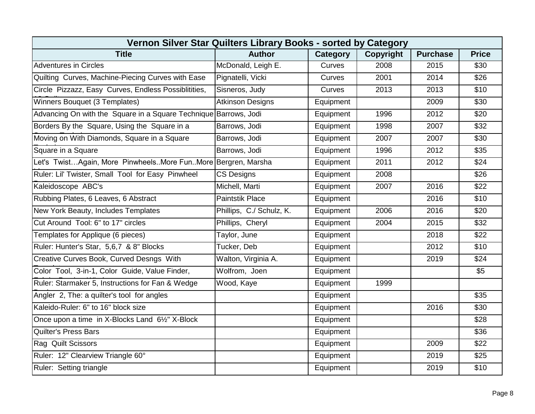| Vernon Silver Star Quilters Library Books - sorted by Category   |                          |           |           |                 |              |  |  |  |
|------------------------------------------------------------------|--------------------------|-----------|-----------|-----------------|--------------|--|--|--|
| <b>Title</b>                                                     | <b>Author</b>            | Category  | Copyright | <b>Purchase</b> | <b>Price</b> |  |  |  |
| <b>Adventures in Circles</b>                                     | McDonald, Leigh E.       | Curves    | 2008      | 2015            | \$30         |  |  |  |
| Quilting Curves, Machine-Piecing Curves with Ease                | Pignatelli, Vicki        | Curves    | 2001      | 2014            | \$26         |  |  |  |
| Circle Pizzazz, Easy Curves, Endless Possiblitities,             | Sisneros, Judy           | Curves    | 2013      | 2013            | \$10         |  |  |  |
| Winners Bouquet (3 Templates)                                    | <b>Atkinson Designs</b>  | Equipment |           | 2009            | \$30         |  |  |  |
| Advancing On with the Square in a Square Technique Barrows, Jodi |                          | Equipment | 1996      | 2012            | \$20         |  |  |  |
| Borders By the Square, Using the Square in a                     | Barrows, Jodi            | Equipment | 1998      | 2007            | \$32         |  |  |  |
| Moving on With Diamonds, Square in a Square                      | Barrows, Jodi            | Equipment | 2007      | 2007            | \$30         |  |  |  |
| Square in a Square                                               | Barrows, Jodi            | Equipment | 1996      | 2012            | \$35         |  |  |  |
| Let's TwistAgain, More PinwheelsMore FunMore Bergren, Marsha     |                          | Equipment | 2011      | 2012            | \$24         |  |  |  |
| Ruler: Lil' Twister, Small Tool for Easy Pinwheel                | <b>CS Designs</b>        | Equipment | 2008      |                 | \$26         |  |  |  |
| Kaleidoscope ABC's                                               | Michell, Marti           | Equipment | 2007      | 2016            | \$22         |  |  |  |
| Rubbing Plates, 6 Leaves, 6 Abstract                             | <b>Paintstik Place</b>   | Equipment |           | 2016            | \$10         |  |  |  |
| New York Beauty, Includes Templates                              | Phillips, C./ Schulz, K. | Equipment | 2006      | 2016            | \$20         |  |  |  |
| Cut Around Tool: 6" to 17" circles                               | Phillips, Cheryl         | Equipment | 2004      | 2015            | \$32         |  |  |  |
| Templates for Applique (6 pieces)                                | Taylor, June             | Equipment |           | 2018            | \$22         |  |  |  |
| Ruler: Hunter's Star, 5,6,7 & 8" Blocks                          | Tucker, Deb              | Equipment |           | 2012            | \$10         |  |  |  |
| Creative Curves Book, Curved Desngs With                         | Walton, Virginia A.      | Equipment |           | 2019            | \$24         |  |  |  |
| Color Tool, 3-in-1, Color Guide, Value Finder,                   | Wolfrom, Joen            | Equipment |           |                 | \$5          |  |  |  |
| Ruler: Starmaker 5, Instructions for Fan & Wedge                 | Wood, Kaye               | Equipment | 1999      |                 |              |  |  |  |
| Angler 2, The: a quilter's tool for angles                       |                          | Equipment |           |                 | \$35         |  |  |  |
| Kaleido-Ruler: 6" to 16" block size                              |                          | Equipment |           | 2016            | \$30         |  |  |  |
| Once upon a time in X-Blocks Land 61/2" X-Block                  |                          | Equipment |           |                 | \$28         |  |  |  |
| <b>Quilter's Press Bars</b>                                      |                          | Equipment |           |                 | \$36         |  |  |  |
| Rag Quilt Scissors                                               |                          | Equipment |           | 2009            | \$22         |  |  |  |
| Ruler: 12" Clearview Triangle 60°                                |                          | Equipment |           | 2019            | \$25         |  |  |  |
| Ruler: Setting triangle                                          |                          | Equipment |           | 2019            | \$10         |  |  |  |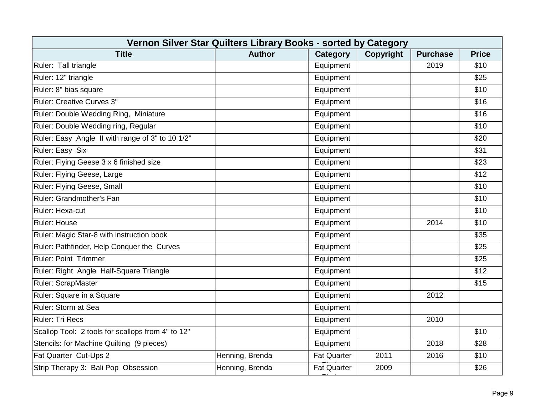| Vernon Silver Star Quilters Library Books - sorted by Category |                 |                    |           |                 |              |  |  |  |
|----------------------------------------------------------------|-----------------|--------------------|-----------|-----------------|--------------|--|--|--|
| <b>Title</b>                                                   | <b>Author</b>   | <b>Category</b>    | Copyright | <b>Purchase</b> | <b>Price</b> |  |  |  |
| Ruler: Tall triangle                                           |                 | Equipment          |           | 2019            | \$10         |  |  |  |
| Ruler: 12" triangle                                            |                 | Equipment          |           |                 | \$25         |  |  |  |
| Ruler: 8" bias square                                          |                 | Equipment          |           |                 | \$10         |  |  |  |
| <b>Ruler: Creative Curves 3"</b>                               |                 | Equipment          |           |                 | \$16         |  |  |  |
| Ruler: Double Wedding Ring, Miniature                          |                 | Equipment          |           |                 | \$16         |  |  |  |
| Ruler: Double Wedding ring, Regular                            |                 | Equipment          |           |                 | \$10         |  |  |  |
| Ruler: Easy Angle II with range of 3" to 10 1/2"               |                 | Equipment          |           |                 | \$20         |  |  |  |
| <b>Ruler: Easy Six</b>                                         |                 | Equipment          |           |                 | \$31         |  |  |  |
| Ruler: Flying Geese 3 x 6 finished size                        |                 | Equipment          |           |                 | \$23         |  |  |  |
| Ruler: Flying Geese, Large                                     |                 | Equipment          |           |                 | \$12         |  |  |  |
| Ruler: Flying Geese, Small                                     |                 | Equipment          |           |                 | \$10         |  |  |  |
| Ruler: Grandmother's Fan                                       |                 | Equipment          |           |                 | \$10         |  |  |  |
| Ruler: Hexa-cut                                                |                 | Equipment          |           |                 | \$10         |  |  |  |
| Ruler: House                                                   |                 | Equipment          |           | 2014            | \$10         |  |  |  |
| Ruler: Magic Star-8 with instruction book                      |                 | Equipment          |           |                 | \$35         |  |  |  |
| Ruler: Pathfinder, Help Conquer the Curves                     |                 | Equipment          |           |                 | \$25         |  |  |  |
| <b>Ruler: Point Trimmer</b>                                    |                 | Equipment          |           |                 | \$25         |  |  |  |
| Ruler: Right Angle Half-Square Triangle                        |                 | Equipment          |           |                 | \$12         |  |  |  |
| Ruler: ScrapMaster                                             |                 | Equipment          |           |                 | \$15         |  |  |  |
| Ruler: Square in a Square                                      |                 | Equipment          |           | 2012            |              |  |  |  |
| Ruler: Storm at Sea                                            |                 | Equipment          |           |                 |              |  |  |  |
| Ruler: Tri Recs                                                |                 | Equipment          |           | 2010            |              |  |  |  |
| Scallop Tool: 2 tools for scallops from 4" to 12"              |                 | Equipment          |           |                 | \$10         |  |  |  |
| Stencils: for Machine Quilting (9 pieces)                      |                 | Equipment          |           | 2018            | \$28         |  |  |  |
| Fat Quarter Cut-Ups 2                                          | Henning, Brenda | <b>Fat Quarter</b> | 2011      | 2016            | \$10         |  |  |  |
| Strip Therapy 3: Bali Pop Obsession                            | Henning, Brenda | <b>Fat Quarter</b> | 2009      |                 | \$26         |  |  |  |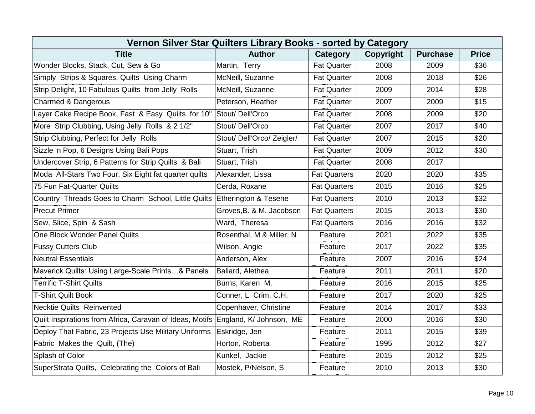| Vernon Silver Star Quilters Library Books - sorted by Category           |                            |                     |                  |                 |              |  |  |  |
|--------------------------------------------------------------------------|----------------------------|---------------------|------------------|-----------------|--------------|--|--|--|
| <b>Title</b>                                                             | <b>Author</b>              | <b>Category</b>     | <b>Copyright</b> | <b>Purchase</b> | <b>Price</b> |  |  |  |
| Wonder Blocks, Stack, Cut, Sew & Go                                      | Martin, Terry              | <b>Fat Quarter</b>  | 2008             | 2009            | \$36         |  |  |  |
| Simply Strips & Squares, Quilts Using Charm                              | McNeill, Suzanne           | <b>Fat Quarter</b>  | 2008             | 2018            | \$26         |  |  |  |
| Strip Delight, 10 Fabulous Quilts from Jelly Rolls                       | McNeill, Suzanne           | Fat Quarter         | 2009             | 2014            | \$28         |  |  |  |
| Charmed & Dangerous                                                      | Peterson, Heather          | <b>Fat Quarter</b>  | 2007             | 2009            | \$15         |  |  |  |
| Layer Cake Recipe Book, Fast & Easy Quilts for 10" Stout/ Dell'Orco      |                            | <b>Fat Quarter</b>  | 2008             | 2009            | \$20         |  |  |  |
| More Strip Clubbing, Using Jelly Rolls & 2 1/2"                          | Stout/Dell'Orco            | <b>Fat Quarter</b>  | 2007             | 2017            | \$40         |  |  |  |
| Strip Clubbing, Perfect for Jelly Rolls                                  | Stout/ Dell'Orco/ Zeigler/ | <b>Fat Quarter</b>  | 2007             | 2015            | \$20         |  |  |  |
| Sizzle 'n Pop, 6 Designs Using Bali Pops                                 | Stuart, Trish              | <b>Fat Quarter</b>  | 2009             | 2012            | \$30         |  |  |  |
| Undercover Strip, 6 Patterns for Strip Quilts & Bali                     | Stuart, Trish              | <b>Fat Quarter</b>  | 2008             | 2017            |              |  |  |  |
| Moda All-Stars Two Four, Six Eight fat quarter quilts                    | Alexander, Lissa           | <b>Fat Quarters</b> | 2020             | 2020            | \$35         |  |  |  |
| 75 Fun Fat-Quarter Quilts                                                | Cerda, Roxane              | <b>Fat Quarters</b> | 2015             | 2016            | \$25         |  |  |  |
| Country Threads Goes to Charm School, Little Quilts Etherington & Tesene |                            | <b>Fat Quarters</b> | 2010             | 2013            | \$32         |  |  |  |
| <b>Precut Primer</b>                                                     | Groves, B. & M. Jacobson   | <b>Fat Quarters</b> | 2015             | 2013            | \$30         |  |  |  |
| Sew, Slice, Spin & Sash                                                  | Ward, Theresa              | <b>Fat Quarters</b> | 2016             | 2016            | \$32         |  |  |  |
| One Block Wonder Panel Quilts                                            | Rosenthal, M & Miller, N   | Feature             | 2021             | 2022            | \$35         |  |  |  |
| <b>Fussy Cutters Club</b>                                                | Wilson, Angie              | Feature             | 2017             | 2022            | \$35         |  |  |  |
| <b>Neutral Essentials</b>                                                | Anderson, Alex             | Feature             | 2007             | 2016            | \$24         |  |  |  |
| Maverick Quilts: Using Large-Scale Prints& Panels                        | Ballard, Alethea           | Feature             | 2011             | 2011            | \$20         |  |  |  |
| <b>Terrific T-Shirt Quilts</b>                                           | Burns, Karen M.            | Feature             | 2016             | 2015            | \$25         |  |  |  |
| <b>T-Shirt Quilt Book</b>                                                | Conner, L Crim, C.H.       | Feature             | 2017             | 2020            | \$25         |  |  |  |
| <b>Necktie Quilts Reinvented</b>                                         | Copenhaver, Christine      | Feature             | 2014             | 2017            | \$33         |  |  |  |
| Quilt Inspirations from Africa, Caravan of Ideas, Motifs                 | England, K/ Johnson, ME    | Feature             | 2000             | 2016            | \$30         |  |  |  |
| Deploy That Fabric, 23 Projects Use Military Uniforms                    | Eskridge, Jen              | Feature             | 2011             | 2015            | \$39         |  |  |  |
| Fabric Makes the Quilt, (The)                                            | Horton, Roberta            | Feature             | 1995             | 2012            | \$27         |  |  |  |
| Splash of Color                                                          | Kunkel, Jackie             | Feature             | 2015             | 2012            | \$25         |  |  |  |
| SuperStrata Quilts, Celebrating the Colors of Bali                       | Mostek, P/Nelson, S        | Feature             | 2010             | 2013            | \$30         |  |  |  |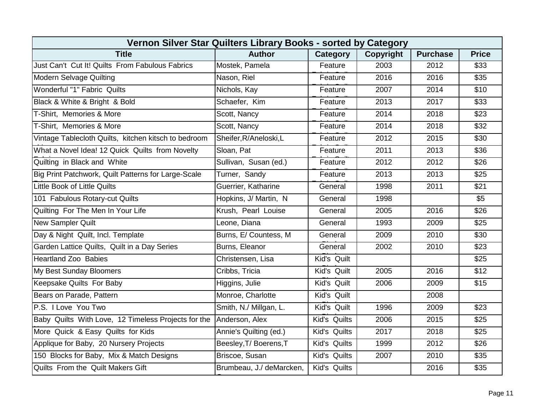| Vernon Silver Star Quilters Library Books - sorted by Category |                          |              |           |                 |              |  |  |  |
|----------------------------------------------------------------|--------------------------|--------------|-----------|-----------------|--------------|--|--|--|
| <b>Title</b>                                                   | <b>Author</b>            | Category     | Copyright | <b>Purchase</b> | <b>Price</b> |  |  |  |
| Just Can't Cut It! Quilts From Fabulous Fabrics                | Mostek, Pamela           | Feature      | 2003      | 2012            | \$33         |  |  |  |
| <b>Modern Selvage Quilting</b>                                 | Nason, Riel              | Feature      | 2016      | 2016            | \$35         |  |  |  |
| Wonderful "1" Fabric Quilts                                    | Nichols, Kay             | Feature      | 2007      | 2014            | \$10         |  |  |  |
| Black & White & Bright & Bold                                  | Schaefer, Kim            | Feature      | 2013      | 2017            | \$33         |  |  |  |
| T-Shirt, Memories & More                                       | Scott, Nancy             | Feature      | 2014      | 2018            | \$23         |  |  |  |
| T-Shirt, Memories & More                                       | Scott, Nancy             | Feature      | 2014      | 2018            | \$32         |  |  |  |
| Vintage Tablecloth Quilts, kitchen kitsch to bedroom           | Sheifer, R/Aneloski, L   | Feature      | 2012      | 2015            | \$30         |  |  |  |
| What a Novel Idea! 12 Quick Quilts from Novelty                | Sloan, Pat               | Feature      | 2011      | 2013            | \$36         |  |  |  |
| Quilting in Black and White                                    | Sullivan, Susan (ed.)    | Feature      | 2012      | 2012            | \$26         |  |  |  |
| Big Print Patchwork, Quilt Patterns for Large-Scale            | Turner, Sandy            | Feature      | 2013      | 2013            | \$25         |  |  |  |
| <b>Little Book of Little Quilts</b>                            | Guerrier, Katharine      | General      | 1998      | 2011            | \$21         |  |  |  |
| 101 Fabulous Rotary-cut Quilts                                 | Hopkins, J/ Martin, N    | General      | 1998      |                 | \$5          |  |  |  |
| Quilting For The Men In Your Life                              | Krush, Pearl Louise      | General      | 2005      | 2016            | \$26         |  |  |  |
| <b>New Sampler Quilt</b>                                       | Leone, Diana             | General      | 1993      | 2009            | \$25         |  |  |  |
| Day & Night Quilt, Incl. Template                              | Burns, E/ Countess, M    | General      | 2009      | 2010            | \$30         |  |  |  |
| Garden Lattice Quilts, Quilt in a Day Series                   | Burns, Eleanor           | General      | 2002      | 2010            | \$23         |  |  |  |
| <b>Heartland Zoo Babies</b>                                    | Christensen, Lisa        | Kid's Quilt  |           |                 | \$25         |  |  |  |
| My Best Sunday Bloomers                                        | Cribbs, Tricia           | Kid's Quilt  | 2005      | 2016            | \$12         |  |  |  |
| Keepsake Quilts For Baby                                       | Higgins, Julie           | Kid's Quilt  | 2006      | 2009            | \$15         |  |  |  |
| Bears on Parade, Pattern                                       | Monroe, Charlotte        | Kid's Quilt  |           | 2008            |              |  |  |  |
| P.S. I Love You Two                                            | Smith, N./ Millgan, L.   | Kid's Quilt  | 1996      | 2009            | \$23         |  |  |  |
| Baby Quilts With Love, 12 Timeless Projects for the            | Anderson, Alex           | Kid's Quilts | 2006      | 2015            | \$25         |  |  |  |
| More Quick & Easy Quilts for Kids                              | Annie's Quilting (ed.)   | Kid's Quilts | 2017      | 2018            | \$25         |  |  |  |
| Applique for Baby, 20 Nursery Projects                         | Beesley, T/ Boerens, T   | Kid's Quilts | 1999      | 2012            | \$26         |  |  |  |
| 150 Blocks for Baby, Mix & Match Designs                       | Briscoe, Susan           | Kid's Quilts | 2007      | 2010            | \$35         |  |  |  |
| Quilts From the Quilt Makers Gift                              | Brumbeau, J./ deMarcken, | Kid's Quilts |           | 2016            | \$35         |  |  |  |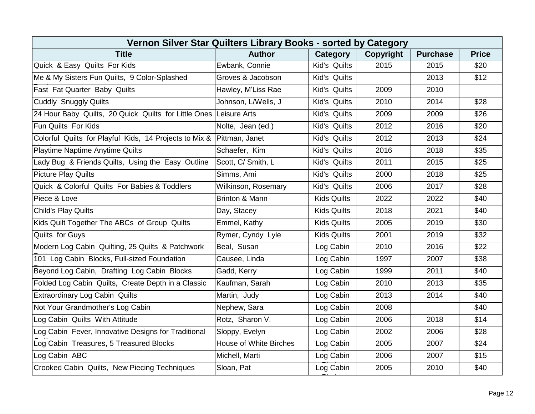| Vernon Silver Star Quilters Library Books - sorted by Category |                               |                    |                  |                 |              |  |  |  |
|----------------------------------------------------------------|-------------------------------|--------------------|------------------|-----------------|--------------|--|--|--|
| <b>Title</b>                                                   | <b>Author</b>                 | Category           | <b>Copyright</b> | <b>Purchase</b> | <b>Price</b> |  |  |  |
| Quick & Easy Quilts For Kids                                   | Ewbank, Connie                | Kid's Quilts       | 2015             | 2015            | \$20         |  |  |  |
| Me & My Sisters Fun Quilts, 9 Color-Splashed                   | Groves & Jacobson             | Kid's Quilts       |                  | 2013            | \$12         |  |  |  |
| Fast Fat Quarter Baby Quilts                                   | Hawley, M'Liss Rae            | Kid's Quilts       | 2009             | 2010            |              |  |  |  |
| Cuddly Snuggly Quilts                                          | Johnson, L/Wells, J           | Kid's Quilts       | 2010             | 2014            | \$28         |  |  |  |
| 24 Hour Baby Quilts, 20 Quick Quilts for Little Ones           | Leisure Arts                  | Kid's Quilts       | 2009             | 2009            | \$26         |  |  |  |
| Fun Quilts For Kids                                            | Nolte, Jean (ed.)             | Kid's Quilts       | 2012             | 2016            | \$20         |  |  |  |
| Colorful Quilts for Playful Kids, 14 Projects to Mix &         | Pittman, Janet                | Kid's Quilts       | 2012             | 2013            | \$24         |  |  |  |
| Playtime Naptime Anytime Quilts                                | Schaefer, Kim                 | Kid's Quilts       | 2016             | 2018            | \$35         |  |  |  |
| Lady Bug & Friends Quilts, Using the Easy Outline              | Scott, C/ Smith, L            | Kid's Quilts       | 2011             | 2015            | \$25         |  |  |  |
| <b>Picture Play Quilts</b>                                     | Simms, Ami                    | Kid's Quilts       | 2000             | 2018            | \$25         |  |  |  |
| Quick & Colorful Quilts For Babies & Toddlers                  | <b>Wilkinson, Rosemary</b>    | Kid's Quilts       | 2006             | 2017            | \$28         |  |  |  |
| Piece & Love                                                   | Brinton & Mann                | <b>Kids Quilts</b> | 2022             | 2022            | \$40         |  |  |  |
| <b>Child's Play Quilts</b>                                     | Day, Stacey                   | <b>Kids Quilts</b> | 2018             | 2021            | \$40         |  |  |  |
| Kids Quilt Together The ABCs of Group Quilts                   | Emmel, Kathy                  | <b>Kids Quilts</b> | 2005             | 2019            | \$30         |  |  |  |
| Quilts for Guys                                                | Rymer, Cyndy Lyle             | <b>Kids Quilts</b> | 2001             | 2019            | \$32         |  |  |  |
| Modern Log Cabin Quilting, 25 Quilts & Patchwork               | Beal, Susan                   | Log Cabin          | 2010             | 2016            | \$22         |  |  |  |
| 101 Log Cabin Blocks, Full-sized Foundation                    | Causee, Linda                 | Log Cabin          | 1997             | 2007            | \$38         |  |  |  |
| Beyond Log Cabin, Drafting Log Cabin Blocks                    | Gadd, Kerry                   | Log Cabin          | 1999             | 2011            | \$40         |  |  |  |
| Folded Log Cabin Quilts, Create Depth in a Classic             | Kaufman, Sarah                | Log Cabin          | 2010             | 2013            | \$35         |  |  |  |
| Extraordinary Log Cabin Quilts                                 | Martin, Judy                  | Log Cabin          | 2013             | 2014            | \$40         |  |  |  |
| Not Your Grandmother's Log Cabin                               | Nephew, Sara                  | Log Cabin          | 2008             |                 | \$40         |  |  |  |
| Log Cabin Quilts With Attitude                                 | Rotz, Sharon V.               | Log Cabin          | 2006             | 2018            | \$14         |  |  |  |
| Log Cabin Fever, Innovative Designs for Traditional            | Sloppy, Evelyn                | Log Cabin          | 2002             | 2006            | \$28         |  |  |  |
| Log Cabin Treasures, 5 Treasured Blocks                        | <b>House of White Birches</b> | Log Cabin          | 2005             | 2007            | \$24         |  |  |  |
| Log Cabin ABC                                                  | Michell, Marti                | Log Cabin          | 2006             | 2007            | \$15         |  |  |  |
| Crooked Cabin Quilts, New Piecing Techniques                   | Sloan, Pat                    | Log Cabin          | 2005             | 2010            | \$40         |  |  |  |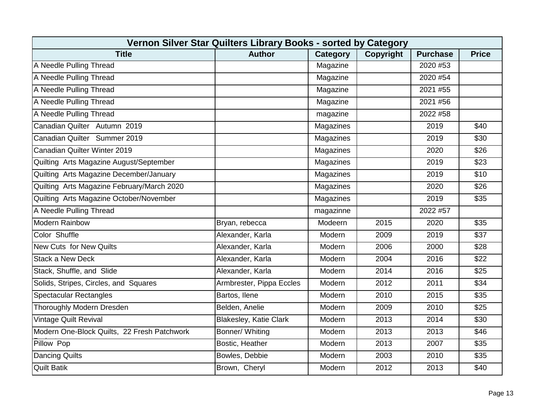| Vernon Silver Star Quilters Library Books - sorted by Category |                               |                 |                  |                 |              |  |  |  |
|----------------------------------------------------------------|-------------------------------|-----------------|------------------|-----------------|--------------|--|--|--|
| <b>Title</b>                                                   | <b>Author</b>                 | <b>Category</b> | <b>Copyright</b> | <b>Purchase</b> | <b>Price</b> |  |  |  |
| A Needle Pulling Thread                                        |                               | Magazine        |                  | 2020 #53        |              |  |  |  |
| A Needle Pulling Thread                                        |                               | Magazine        |                  | 2020 #54        |              |  |  |  |
| A Needle Pulling Thread                                        |                               | Magazine        |                  | 2021 #55        |              |  |  |  |
| A Needle Pulling Thread                                        |                               | Magazine        |                  | 2021 #56        |              |  |  |  |
| A Needle Pulling Thread                                        |                               | magazine        |                  | 2022 #58        |              |  |  |  |
| Canadian Quilter Autumn 2019                                   |                               | Magazines       |                  | 2019            | \$40         |  |  |  |
| Canadian Quilter Summer 2019                                   |                               | Magazines       |                  | 2019            | \$30         |  |  |  |
| Canadian Quilter Winter 2019                                   |                               | Magazines       |                  | 2020            | \$26         |  |  |  |
| Quilting Arts Magazine August/September                        |                               | Magazines       |                  | 2019            | \$23         |  |  |  |
| Quilting Arts Magazine December/January                        |                               | Magazines       |                  | 2019            | \$10         |  |  |  |
| Quilting Arts Magazine February/March 2020                     |                               | Magazines       |                  | 2020            | \$26         |  |  |  |
| Quilting Arts Magazine October/November                        |                               | Magazines       |                  | 2019            | \$35         |  |  |  |
| A Needle Pulling Thread                                        |                               | magazinne       |                  | 2022 #57        |              |  |  |  |
| <b>Modern Rainbow</b>                                          | Bryan, rebecca                | Modeern         | 2015             | 2020            | \$35         |  |  |  |
| Color Shuffle                                                  | Alexander, Karla              | Modern          | 2009             | 2019            | \$37         |  |  |  |
| <b>New Cuts for New Quilts</b>                                 | Alexander, Karla              | Modern          | 2006             | 2000            | \$28         |  |  |  |
| <b>Stack a New Deck</b>                                        | Alexander, Karla              | Modern          | 2004             | 2016            | \$22         |  |  |  |
| Stack, Shuffle, and Slide                                      | Alexander, Karla              | Modern          | 2014             | 2016            | \$25         |  |  |  |
| Solids, Stripes, Circles, and Squares                          | Armbrester, Pippa Eccles      | Modern          | 2012             | 2011            | \$34         |  |  |  |
| <b>Spectacular Rectangles</b>                                  | Bartos, Ilene                 | Modern          | 2010             | 2015            | \$35         |  |  |  |
| Thoroughly Modern Dresden                                      | Belden, Anelie                | Modern          | 2009             | 2010            | \$25         |  |  |  |
| <b>Vintage Quilt Revival</b>                                   | <b>Blakesley, Katie Clark</b> | Modern          | 2013             | 2014            | \$30         |  |  |  |
| Modern One-Block Quilts, 22 Fresh Patchwork                    | Bonner/ Whiting               | Modern          | 2013             | 2013            | \$46         |  |  |  |
| Pillow Pop                                                     | Bostic, Heather               | Modern          | 2013             | 2007            | \$35         |  |  |  |
| <b>Dancing Quilts</b>                                          | Bowles, Debbie                | Modern          | 2003             | 2010            | \$35         |  |  |  |
| <b>Quilt Batik</b>                                             | Brown, Cheryl                 | Modern          | 2012             | 2013            | \$40         |  |  |  |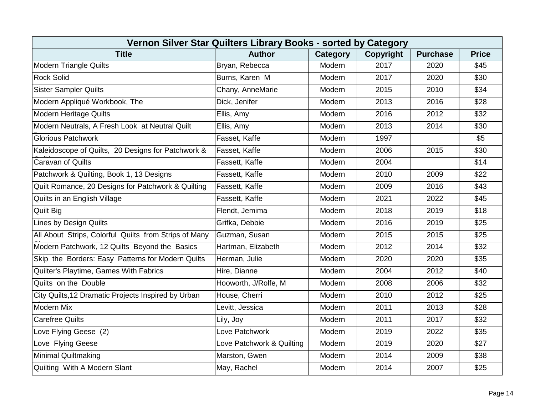| Vernon Silver Star Quilters Library Books - sorted by Category |                           |                 |           |                 |                  |  |  |  |
|----------------------------------------------------------------|---------------------------|-----------------|-----------|-----------------|------------------|--|--|--|
| <b>Title</b>                                                   | <b>Author</b>             | <b>Category</b> | Copyright | <b>Purchase</b> | <b>Price</b>     |  |  |  |
| <b>Modern Triangle Quilts</b>                                  | Bryan, Rebecca            | Modern          | 2017      | 2020            | \$45             |  |  |  |
| <b>Rock Solid</b>                                              | Burns, Karen M            | Modern          | 2017      | 2020            | \$30             |  |  |  |
| <b>Sister Sampler Quilts</b>                                   | Chany, AnneMarie          | Modern          | 2015      | 2010            | \$34             |  |  |  |
| Modern Appliqué Workbook, The                                  | Dick, Jenifer             | Modern          | 2013      | 2016            | $\overline{$28}$ |  |  |  |
| <b>Modern Heritage Quilts</b>                                  | Ellis, Amy                | Modern          | 2016      | 2012            | \$32             |  |  |  |
| Modern Neutrals, A Fresh Look at Neutral Quilt                 | Ellis, Amy                | Modern          | 2013      | 2014            | \$30             |  |  |  |
| <b>Glorious Patchwork</b>                                      | Fasset, Kaffe             | Modern          | 1997      |                 | \$5              |  |  |  |
| Kaleidoscope of Quilts, 20 Designs for Patchwork &             | Fasset, Kaffe             | Modern          | 2006      | 2015            | \$30             |  |  |  |
| Caravan of Quilts                                              | Fassett, Kaffe            | Modern          | 2004      |                 | \$14             |  |  |  |
| Patchwork & Quilting, Book 1, 13 Designs                       | Fassett, Kaffe            | Modern          | 2010      | 2009            | \$22             |  |  |  |
| Quilt Romance, 20 Designs for Patchwork & Quilting             | Fassett, Kaffe            | Modern          | 2009      | 2016            | \$43             |  |  |  |
| Quilts in an English Village                                   | Fassett, Kaffe            | Modern          | 2021      | 2022            | \$45             |  |  |  |
| <b>Quilt Big</b>                                               | Flendt, Jemima            | Modern          | 2018      | 2019            | \$18             |  |  |  |
| <b>Lines by Design Quilts</b>                                  | Grifka, Debbie            | Modern          | 2016      | 2019            | \$25             |  |  |  |
| All About Strips, Colorful Quilts from Strips of Many          | Guzman, Susan             | Modern          | 2015      | 2015            | \$25             |  |  |  |
| Modern Patchwork, 12 Quilts Beyond the Basics                  | Hartman, Elizabeth        | Modern          | 2012      | 2014            | \$32             |  |  |  |
| Skip the Borders: Easy Patterns for Modern Quilts              | Herman, Julie             | Modern          | 2020      | 2020            | \$35             |  |  |  |
| Quilter's Playtime, Games With Fabrics                         | Hire, Dianne              | Modern          | 2004      | 2012            | \$40             |  |  |  |
| Quilts on the Double                                           | Hooworth, J/Rolfe, M      | Modern          | 2008      | 2006            | \$32             |  |  |  |
| City Quilts, 12 Dramatic Projects Inspired by Urban            | House, Cherri             | Modern          | 2010      | 2012            | \$25             |  |  |  |
| <b>Modern Mix</b>                                              | Levitt, Jessica           | Modern          | 2011      | 2013            | \$28             |  |  |  |
| Carefree Quilts                                                | Lily, Joy                 | Modern          | 2011      | 2017            | \$32             |  |  |  |
| Love Flying Geese (2)                                          | Love Patchwork            | Modern          | 2019      | 2022            | \$35             |  |  |  |
| Love Flying Geese                                              | Love Patchwork & Quilting | Modern          | 2019      | 2020            | \$27             |  |  |  |
| <b>Minimal Quiltmaking</b>                                     | Marston, Gwen             | Modern          | 2014      | 2009            | \$38             |  |  |  |
| Quilting With A Modern Slant                                   | May, Rachel               | Modern          | 2014      | 2007            | \$25             |  |  |  |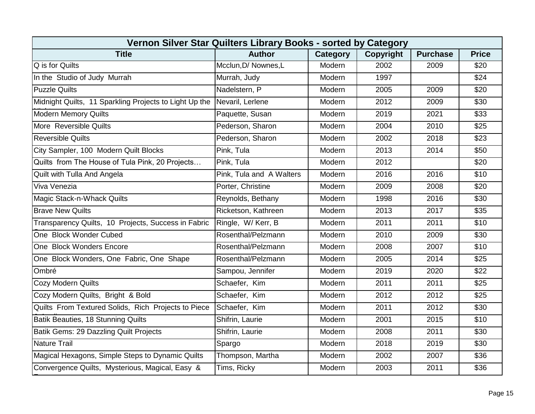| Vernon Silver Star Quilters Library Books - sorted by Category |                          |          |           |                 |              |  |  |  |
|----------------------------------------------------------------|--------------------------|----------|-----------|-----------------|--------------|--|--|--|
| <b>Title</b>                                                   | <b>Author</b>            | Category | Copyright | <b>Purchase</b> | <b>Price</b> |  |  |  |
| Q is for Quilts                                                | Mcclun, D/ Nownes, L     | Modern   | 2002      | 2009            | \$20         |  |  |  |
| In the Studio of Judy Murrah                                   | Murrah, Judy             | Modern   | 1997      |                 | \$24         |  |  |  |
| <b>Puzzle Quilts</b>                                           | Nadelstern, P            | Modern   | 2005      | 2009            | \$20         |  |  |  |
| Midnight Quilts, 11 Sparkling Projects to Light Up the         | Nevaril, Lerlene         | Modern   | 2012      | 2009            | \$30         |  |  |  |
| <b>Modern Memory Quilts</b>                                    | Paquette, Susan          | Modern   | 2019      | 2021            | \$33         |  |  |  |
| More Reversible Quilts                                         | Pederson, Sharon         | Modern   | 2004      | 2010            | \$25         |  |  |  |
| <b>Reversible Quilts</b>                                       | Pederson, Sharon         | Modern   | 2002      | 2018            | \$23         |  |  |  |
| City Sampler, 100 Modern Quilt Blocks                          | Pink, Tula               | Modern   | 2013      | 2014            | \$50         |  |  |  |
| Quilts from The House of Tula Pink, 20 Projects                | Pink, Tula               | Modern   | 2012      |                 | \$20         |  |  |  |
| Quilt with Tulla And Angela                                    | Pink, Tula and A Walters | Modern   | 2016      | 2016            | \$10         |  |  |  |
| Viva Venezia                                                   | Porter, Christine        | Modern   | 2009      | 2008            | \$20         |  |  |  |
| Magic Stack-n-Whack Quilts                                     | Reynolds, Bethany        | Modern   | 1998      | 2016            | \$30         |  |  |  |
| <b>Brave New Quilts</b>                                        | Ricketson, Kathreen      | Modern   | 2013      | 2017            | \$35         |  |  |  |
| Transparency Quilts, 10 Projects, Success in Fabric            | Ringle, W/Kerr, B        | Modern   | 2011      | 2011            | \$10         |  |  |  |
| One Block Wonder Cubed                                         | Rosenthal/Pelzmann       | Modern   | 2010      | 2009            | \$30         |  |  |  |
| One Block Wonders Encore                                       | Rosenthal/Pelzmann       | Modern   | 2008      | 2007            | \$10         |  |  |  |
| One Block Wonders, One Fabric, One Shape                       | Rosenthal/Pelzmann       | Modern   | 2005      | 2014            | \$25         |  |  |  |
| Ombré                                                          | Sampou, Jennifer         | Modern   | 2019      | 2020            | \$22         |  |  |  |
| <b>Cozy Modern Quilts</b>                                      | Schaefer, Kim            | Modern   | 2011      | 2011            | \$25         |  |  |  |
| Cozy Modern Quilts, Bright & Bold                              | Schaefer, Kim            | Modern   | 2012      | 2012            | \$25         |  |  |  |
| Quilts From Textured Solids, Rich Projects to Piece            | Schaefer, Kim            | Modern   | 2011      | 2012            | \$30         |  |  |  |
| Batik Beauties, 18 Stunning Quilts                             | Shifrin, Laurie          | Modern   | 2001      | 2015            | \$10         |  |  |  |
| Batik Gems: 29 Dazzling Quilt Projects                         | Shifrin, Laurie          | Modern   | 2008      | 2011            | \$30         |  |  |  |
| Nature Trail                                                   | Spargo                   | Modern   | 2018      | 2019            | \$30         |  |  |  |
| Magical Hexagons, Simple Steps to Dynamic Quilts               | Thompson, Martha         | Modern   | 2002      | 2007            | \$36         |  |  |  |
| Convergence Quilts, Mysterious, Magical, Easy &                | Tims, Ricky              | Modern   | 2003      | 2011            | \$36         |  |  |  |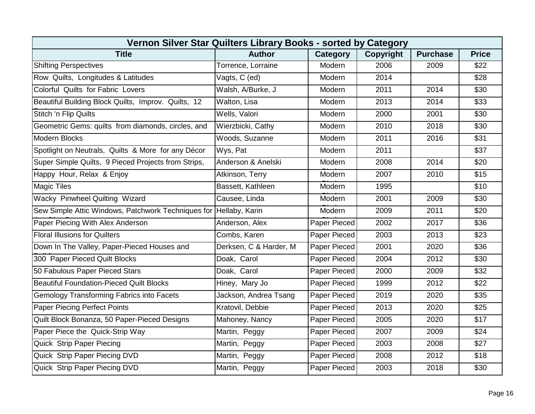| Vernon Silver Star Quilters Library Books - sorted by Category    |                        |              |           |                 |              |  |  |  |
|-------------------------------------------------------------------|------------------------|--------------|-----------|-----------------|--------------|--|--|--|
| <b>Title</b>                                                      | <b>Author</b>          | Category     | Copyright | <b>Purchase</b> | <b>Price</b> |  |  |  |
| <b>Shifting Perspectives</b>                                      | Torrence, Lorraine     | Modern       | 2006      | 2009            | \$22         |  |  |  |
| Row Quilts, Longitudes & Latitudes                                | Vagts, C (ed)          | Modern       | 2014      |                 | \$28         |  |  |  |
| Colorful Quilts for Fabric Lovers                                 | Walsh, A/Burke, J      | Modern       | 2011      | 2014            | \$30         |  |  |  |
| Beautiful Building Block Quilts, Improv. Quilts, 12               | Walton, Lisa           | Modern       | 2013      | 2014            | \$33         |  |  |  |
| Stitch 'n Flip Quilts                                             | Wells, Valori          | Modern       | 2000      | 2001            | \$30         |  |  |  |
| Geometric Gems: quilts from diamonds, circles, and                | Wierzbicki, Cathy      | Modern       | 2010      | 2018            | \$30         |  |  |  |
| <b>Modern Blocks</b>                                              | Woods, Suzanne         | Modern       | 2011      | 2016            | \$31         |  |  |  |
| Spotlight on Neutrals, Quilts & More for any Décor                | Wys, Pat               | Modern       | 2011      |                 | \$37         |  |  |  |
| Super Simple Quilts, 9 Pieced Projects from Strips,               | Anderson & Anelski     | Modern       | 2008      | 2014            | \$20         |  |  |  |
| Happy Hour, Relax & Enjoy                                         | Atkinson, Terry        | Modern       | 2007      | 2010            | \$15         |  |  |  |
| <b>Magic Tiles</b>                                                | Bassett, Kathleen      | Modern       | 1995      |                 | \$10         |  |  |  |
| Wacky Pinwheel Quilting Wizard                                    | Causee, Linda          | Modern       | 2001      | 2009            | \$30         |  |  |  |
| Sew Simple Attic Windows, Patchwork Techniques for Hellaby, Karin |                        | Modern       | 2009      | 2011            | \$20         |  |  |  |
| Paper Piecing With Alex Anderson                                  | Anderson, Alex         | Paper Pieced | 2002      | 2017            | \$36         |  |  |  |
| <b>Floral Illusions for Quilters</b>                              | Combs, Karen           | Paper Pieced | 2003      | 2013            | \$23         |  |  |  |
| Down In The Valley, Paper-Pieced Houses and                       | Derksen, C & Harder, M | Paper Pieced | 2001      | 2020            | \$36         |  |  |  |
| 300 Paper Pieced Quilt Blocks                                     | Doak, Carol            | Paper Pieced | 2004      | 2012            | \$30         |  |  |  |
| 50 Fabulous Paper Pieced Stars                                    | Doak, Carol            | Paper Pieced | 2000      | 2009            | \$32         |  |  |  |
| <b>Beautiful Foundation-Pieced Quilt Blocks</b>                   | Hiney, Mary Jo         | Paper Pieced | 1999      | 2012            | \$22         |  |  |  |
| <b>Gemology Transforming Fabrics into Facets</b>                  | Jackson, Andrea Tsang  | Paper Pieced | 2019      | 2020            | \$35         |  |  |  |
| <b>Paper Piecing Perfect Points</b>                               | Kratovil, Debbie       | Paper Pieced | 2013      | 2020            | \$25         |  |  |  |
| Quilt Block Bonanza, 50 Paper-Pieced Designs                      | Mahoney, Nancy         | Paper Pieced | 2005      | 2020            | \$17         |  |  |  |
| Paper Piece the Quick-Strip Way                                   | Martin, Peggy          | Paper Pieced | 2007      | 2009            | \$24         |  |  |  |
| <b>Quick Strip Paper Piecing</b>                                  | Martin, Peggy          | Paper Pieced | 2003      | 2008            | \$27         |  |  |  |
| Quick Strip Paper Piecing DVD                                     | Martin, Peggy          | Paper Pieced | 2008      | 2012            | \$18         |  |  |  |
| Quick Strip Paper Piecing DVD                                     | Martin, Peggy          | Paper Pieced | 2003      | 2018            | \$30         |  |  |  |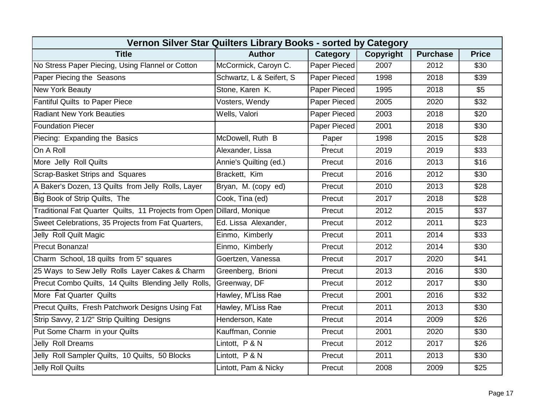| Vernon Silver Star Quilters Library Books - sorted by Category         |                          |              |           |                 |                  |  |  |  |
|------------------------------------------------------------------------|--------------------------|--------------|-----------|-----------------|------------------|--|--|--|
| <b>Title</b>                                                           | <b>Author</b>            | Category     | Copyright | <b>Purchase</b> | <b>Price</b>     |  |  |  |
| No Stress Paper Piecing, Using Flannel or Cotton                       | McCormick, Caroyn C.     | Paper Pieced | 2007      | 2012            | \$30             |  |  |  |
| Paper Piecing the Seasons                                              | Schwartz, L & Seifert, S | Paper Pieced | 1998      | 2018            | \$39             |  |  |  |
| <b>New York Beauty</b>                                                 | Stone, Karen K.          | Paper Pieced | 1995      | 2018            | \$5              |  |  |  |
| <b>Fantiful Quilts to Paper Piece</b>                                  | Vosters, Wendy           | Paper Pieced | 2005      | 2020            | \$32             |  |  |  |
| <b>Radiant New York Beauties</b>                                       | Wells, Valori            | Paper Pieced | 2003      | 2018            | \$20             |  |  |  |
| <b>Foundation Piecer</b>                                               |                          | Paper Pieced | 2001      | 2018            | \$30             |  |  |  |
| Piecing: Expanding the Basics                                          | McDowell, Ruth B         | Paper        | 1998      | 2015            | $\overline{$28}$ |  |  |  |
| On A Roll                                                              | Alexander, Lissa         | Precut       | 2019      | 2019            | \$33             |  |  |  |
| More Jelly Roll Quilts                                                 | Annie's Quilting (ed.)   | Precut       | 2016      | 2013            | \$16             |  |  |  |
| Scrap-Basket Strips and Squares                                        | Brackett, Kim            | Precut       | 2016      | 2012            | \$30             |  |  |  |
| A Baker's Dozen, 13 Quilts from Jelly Rolls, Layer                     | Bryan, M. (copy ed)      | Precut       | 2010      | 2013            | \$28             |  |  |  |
| Big Book of Strip Quilts, The                                          | Cook, Tina (ed)          | Precut       | 2017      | 2018            | \$28             |  |  |  |
| Traditional Fat Quarter Quilts, 11 Projects from Open Dillard, Monique |                          | Precut       | 2012      | 2015            | \$37             |  |  |  |
| Sweet Celebrations, 35 Projects from Fat Quarters,                     | Ed. Lissa Alexander,     | Precut       | 2012      | 2011            | \$23             |  |  |  |
| Jelly Roll Quilt Magic                                                 | Einmo, Kimberly          | Precut       | 2011      | 2014            | \$33             |  |  |  |
| Precut Bonanza!                                                        | Einmo, Kimberly          | Precut       | 2012      | 2014            | \$30             |  |  |  |
| Charm School, 18 quilts from 5" squares                                | Goertzen, Vanessa        | Precut       | 2017      | 2020            | \$41             |  |  |  |
| 25 Ways to Sew Jelly Rolls Layer Cakes & Charm                         | Greenberg, Brioni        | Precut       | 2013      | 2016            | \$30             |  |  |  |
| Precut Combo Quilts, 14 Quilts Blending Jelly Rolls,                   | Greenway, DF             | Precut       | 2012      | 2017            | \$30             |  |  |  |
| More Fat Quarter Quilts                                                | Hawley, M'Liss Rae       | Precut       | 2001      | 2016            | \$32             |  |  |  |
| Precut Quilts, Fresh Patchwork Designs Using Fat                       | Hawley, M'Liss Rae       | Precut       | 2011      | 2013            | \$30             |  |  |  |
| Strip Savvy, 2 1/2" Strip Quilting Designs                             | Henderson, Kate          | Precut       | 2014      | 2009            | \$26             |  |  |  |
| Put Some Charm in your Quilts                                          | Kauffman, Connie         | Precut       | 2001      | 2020            | \$30             |  |  |  |
| Jelly Roll Dreams                                                      | Lintott, P & N           | Precut       | 2012      | 2017            | \$26             |  |  |  |
| Jelly Roll Sampler Quilts, 10 Quilts, 50 Blocks                        | Lintott, P & N           | Precut       | 2011      | 2013            | \$30             |  |  |  |
| Jelly Roll Quilts                                                      | Lintott, Pam & Nicky     | Precut       | 2008      | 2009            | \$25             |  |  |  |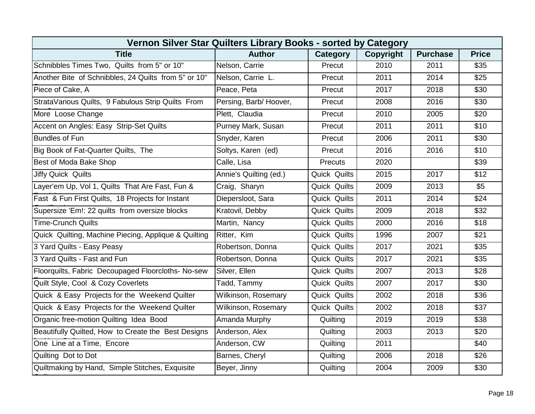| Vernon Silver Star Quilters Library Books - sorted by Category |                        |                     |           |                 |              |  |  |  |
|----------------------------------------------------------------|------------------------|---------------------|-----------|-----------------|--------------|--|--|--|
| <b>Title</b>                                                   | <b>Author</b>          | Category            | Copyright | <b>Purchase</b> | <b>Price</b> |  |  |  |
| Schnibbles Times Two, Quilts from 5" or 10"                    | Nelson, Carrie         | Precut              | 2010      | 2011            | \$35         |  |  |  |
| Another Bite of Schnibbles, 24 Quilts from 5" or 10"           | Nelson, Carrie L.      | Precut              | 2011      | 2014            | \$25         |  |  |  |
| Piece of Cake, A                                               | Peace, Peta            | Precut              | 2017      | 2018            | \$30         |  |  |  |
| StrataVarious Quilts, 9 Fabulous Strip Quilts From             | Persing, Barb/Hoover,  | Precut              | 2008      | 2016            | \$30         |  |  |  |
| More Loose Change                                              | Plett, Claudia         | Precut              | 2010      | 2005            | \$20         |  |  |  |
| Accent on Angles: Easy Strip-Set Quilts                        | Purney Mark, Susan     | Precut              | 2011      | 2011            | \$10         |  |  |  |
| <b>Bundles of Fun</b>                                          | Snyder, Karen          | Precut              | 2006      | 2011            | \$30         |  |  |  |
| Big Book of Fat-Quarter Quilts, The                            | Soltys, Karen (ed)     | Precut              | 2016      | 2016            | \$10         |  |  |  |
| Best of Moda Bake Shop                                         | Calle, Lisa            | <b>Precuts</b>      | 2020      |                 | \$39         |  |  |  |
| <b>Jiffy Quick Quilts</b>                                      | Annie's Quilting (ed.) | Quick Quilts        | 2015      | 2017            | \$12         |  |  |  |
| Layer'em Up, Vol 1, Quilts That Are Fast, Fun &                | Craig, Sharyn          | Quick Quilts        | 2009      | 2013            | \$5          |  |  |  |
| Fast & Fun First Quilts, 18 Projects for Instant               | Diepersloot, Sara      | Quick Quilts        | 2011      | 2014            | \$24         |  |  |  |
| Supersize 'Em!: 22 quilts from oversize blocks                 | Kratovil, Debby        | Quick Quilts        | 2009      | 2018            | \$32         |  |  |  |
| <b>Time-Crunch Quilts</b>                                      | Martin, Nancy          | Quick Quilts        | 2000      | 2016            | \$18         |  |  |  |
| Quick Quilting, Machine Piecing, Applique & Quilting           | Ritter, Kim            | Quick Quilts        | 1996      | 2007            | \$21         |  |  |  |
| 3 Yard Quilts - Easy Peasy                                     | Robertson, Donna       | Quick Quilts        | 2017      | 2021            | \$35         |  |  |  |
| 3 Yard Quilts - Fast and Fun                                   | Robertson, Donna       | Quick Quilts        | 2017      | 2021            | \$35         |  |  |  |
| Floorquilts, Fabric Decoupaged Floorcloths- No-sew             | Silver, Ellen          | Quick Quilts        | 2007      | 2013            | \$28         |  |  |  |
| Quilt Style, Cool & Cozy Coverlets                             | Tadd, Tammy            | Quick Quilts        | 2007      | 2017            | \$30         |  |  |  |
| Quick & Easy Projects for the Weekend Quilter                  | Wilkinson, Rosemary    | Quick Quilts        | 2002      | 2018            | \$36         |  |  |  |
| Quick & Easy Projects for the Weekend Quilter                  | Wilkinson, Rosemary    | <b>Quick Quilts</b> | 2002      | 2018            | \$37         |  |  |  |
| Organic free-motion Quilting Idea Bood                         | Amanda Murphy          | Quilting            | 2019      | 2019            | \$38         |  |  |  |
| Beautifully Quilted, How to Create the Best Designs            | Anderson, Alex         | Quilting            | 2003      | 2013            | \$20         |  |  |  |
| One Line at a Time, Encore                                     | Anderson, CW           | Quilting            | 2011      |                 | \$40         |  |  |  |
| Quilting Dot to Dot                                            | Barnes, Cheryl         | Quilting            | 2006      | 2018            | \$26         |  |  |  |
| Quiltmaking by Hand, Simple Stitches, Exquisite                | Beyer, Jinny           | Quilting            | 2004      | 2009            | \$30         |  |  |  |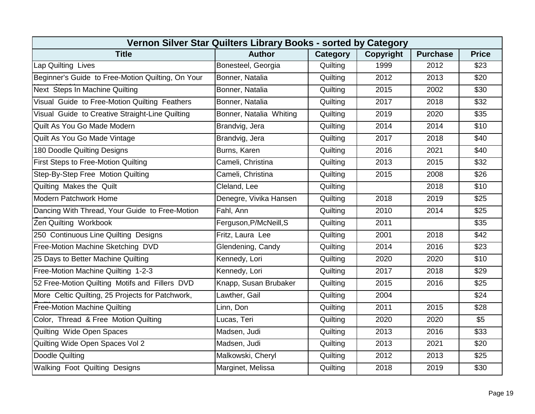| Vernon Silver Star Quilters Library Books - sorted by Category |                         |          |           |                 |                  |  |  |  |
|----------------------------------------------------------------|-------------------------|----------|-----------|-----------------|------------------|--|--|--|
| <b>Title</b>                                                   | <b>Author</b>           | Category | Copyright | <b>Purchase</b> | <b>Price</b>     |  |  |  |
| Lap Quilting Lives                                             | Bonesteel, Georgia      | Quilting | 1999      | 2012            | \$23             |  |  |  |
| Beginner's Guide to Free-Motion Quilting, On Your              | Bonner, Natalia         | Quilting | 2012      | 2013            | \$20             |  |  |  |
| Next Steps In Machine Quilting                                 | Bonner, Natalia         | Quilting | 2015      | 2002            | \$30             |  |  |  |
| Visual Guide to Free-Motion Quilting Feathers                  | Bonner, Natalia         | Quilting | 2017      | 2018            | \$32             |  |  |  |
| Visual Guide to Creative Straight-Line Quilting                | Bonner, Natalia Whiting | Quilting | 2019      | 2020            | \$35             |  |  |  |
| Quilt As You Go Made Modern                                    | Brandvig, Jera          | Quilting | 2014      | 2014            | \$10             |  |  |  |
| Quilt As You Go Made Vintage                                   | Brandvig, Jera          | Quilting | 2017      | 2018            | $\overline{$40}$ |  |  |  |
| 180 Doodle Quilting Designs                                    | Burns, Karen            | Quilting | 2016      | 2021            | \$40             |  |  |  |
| First Steps to Free-Motion Quilting                            | Cameli, Christina       | Quilting | 2013      | 2015            | \$32             |  |  |  |
| Step-By-Step Free Motion Quilting                              | Cameli, Christina       | Quilting | 2015      | 2008            | \$26             |  |  |  |
| Quilting Makes the Quilt                                       | Cleland, Lee            | Quilting |           | 2018            | \$10             |  |  |  |
| <b>Modern Patchwork Home</b>                                   | Denegre, Vivika Hansen  | Quilting | 2018      | 2019            | \$25             |  |  |  |
| Dancing With Thread, Your Guide to Free-Motion                 | Fahl, Ann               | Quilting | 2010      | 2014            | \$25             |  |  |  |
| Zen Quilting Workbook                                          | Ferguson, P/McNeill, S  | Quilting | 2011      |                 | \$35             |  |  |  |
| 250 Continuous Line Quilting Designs                           | Fritz, Laura Lee        | Quilting | 2001      | 2018            | \$42             |  |  |  |
| Free-Motion Machine Sketching DVD                              | Glendening, Candy       | Quilting | 2014      | 2016            | \$23             |  |  |  |
| 25 Days to Better Machine Quilting                             | Kennedy, Lori           | Quilting | 2020      | 2020            | \$10             |  |  |  |
| Free-Motion Machine Quilting 1-2-3                             | Kennedy, Lori           | Quilting | 2017      | 2018            | \$29             |  |  |  |
| 52 Free-Motion Quilting Motifs and Fillers DVD                 | Knapp, Susan Brubaker   | Quilting | 2015      | 2016            | \$25             |  |  |  |
| More Celtic Quilting, 25 Projects for Patchwork,               | Lawther, Gail           | Quilting | 2004      |                 | \$24             |  |  |  |
| <b>Free-Motion Machine Quilting</b>                            | Linn, Don               | Quilting | 2011      | 2015            | \$28             |  |  |  |
| Color, Thread & Free Motion Quilting                           | Lucas, Teri             | Quilting | 2020      | 2020            | \$5              |  |  |  |
| Quilting Wide Open Spaces                                      | Madsen, Judi            | Quilting | 2013      | 2016            | \$33             |  |  |  |
| Quilting Wide Open Spaces Vol 2                                | Madsen, Judi            | Quilting | 2013      | 2021            | \$20             |  |  |  |
| Doodle Quilting                                                | Malkowski, Cheryl       | Quilting | 2012      | 2013            | \$25             |  |  |  |
| Walking Foot Quilting Designs                                  | Marginet, Melissa       | Quilting | 2018      | 2019            | \$30             |  |  |  |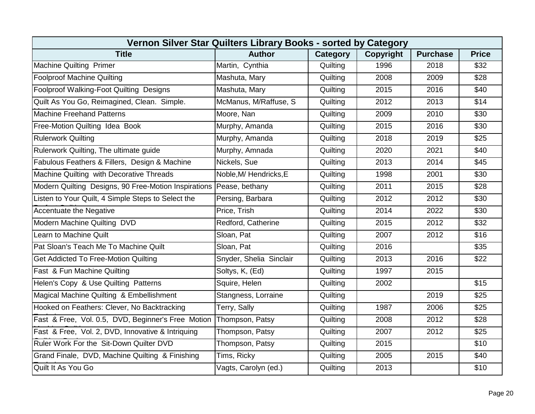| Vernon Silver Star Quilters Library Books - sorted by Category      |                         |          |           |                 |                  |  |  |  |
|---------------------------------------------------------------------|-------------------------|----------|-----------|-----------------|------------------|--|--|--|
| <b>Title</b>                                                        | <b>Author</b>           | Category | Copyright | <b>Purchase</b> | <b>Price</b>     |  |  |  |
| <b>Machine Quilting Primer</b>                                      | Martin, Cynthia         | Quilting | 1996      | 2018            | \$32             |  |  |  |
| <b>Foolproof Machine Quilting</b>                                   | Mashuta, Mary           | Quilting | 2008      | 2009            | \$28             |  |  |  |
| Foolproof Walking-Foot Quilting Designs                             | Mashuta, Mary           | Quilting | 2015      | 2016            | \$40             |  |  |  |
| Quilt As You Go, Reimagined, Clean. Simple.                         | McManus, M/Raffuse, S   | Quilting | 2012      | 2013            | \$14             |  |  |  |
| <b>Machine Freehand Patterns</b>                                    | Moore, Nan              | Quilting | 2009      | 2010            | \$30             |  |  |  |
| Free-Motion Quilting Idea Book                                      | Murphy, Amanda          | Quilting | 2015      | 2016            | \$30             |  |  |  |
| <b>Rulerwork Quilting</b>                                           | Murphy, Amanda          | Quilting | 2018      | 2019            | \$25             |  |  |  |
| Rulerwork Quilting, The ultimate guide                              | Murphy, Amnada          | Quilting | 2020      | 2021            | \$40             |  |  |  |
| Fabulous Feathers & Fillers, Design & Machine                       | Nickels, Sue            | Quilting | 2013      | 2014            | \$45             |  |  |  |
| Machine Quilting with Decorative Threads                            | Noble, M/ Hendricks, E  | Quilting | 1998      | 2001            | $\overline{$30}$ |  |  |  |
| Modern Quilting Designs, 90 Free-Motion Inspirations Pease, bethany |                         | Quilting | 2011      | 2015            | \$28             |  |  |  |
| Listen to Your Quilt, 4 Simple Steps to Select the                  | Persing, Barbara        | Quilting | 2012      | 2012            | \$30             |  |  |  |
| Accentuate the Negative                                             | Price, Trish            | Quilting | 2014      | 2022            | \$30             |  |  |  |
| Modern Machine Quilting DVD                                         | Redford, Catherine      | Quilting | 2015      | 2012            | \$32             |  |  |  |
| <b>Learn to Machine Quilt</b>                                       | Sloan, Pat              | Quilting | 2007      | 2012            | \$16             |  |  |  |
| Pat Sloan's Teach Me To Machine Quilt                               | Sloan, Pat              | Quilting | 2016      |                 | \$35             |  |  |  |
| Get Addicted To Free-Motion Quilting                                | Snyder, Shelia Sinclair | Quilting | 2013      | 2016            | \$22             |  |  |  |
| Fast & Fun Machine Quilting                                         | Soltys, K, (Ed)         | Quilting | 1997      | 2015            |                  |  |  |  |
| Helen's Copy & Use Quilting Patterns                                | Squire, Helen           | Quilting | 2002      |                 | \$15             |  |  |  |
| Magical Machine Quilting & Embellishment                            | Stangness, Lorraine     | Quilting |           | 2019            | \$25             |  |  |  |
| Hooked on Feathers: Clever, No Backtracking                         | Terry, Sally            | Quilting | 1987      | 2006            | \$25             |  |  |  |
| Fast & Free, Vol. 0.5, DVD, Beginner's Free Motion                  | Thompson, Patsy         | Quilting | 2008      | 2012            | \$28             |  |  |  |
| Fast & Free, Vol. 2, DVD, Innovative & Intriquing                   | Thompson, Patsy         | Quilting | 2007      | 2012            | \$25             |  |  |  |
| Ruler Work For the Sit-Down Quilter DVD                             | Thompson, Patsy         | Quilting | 2015      |                 | \$10             |  |  |  |
| Grand Finale, DVD, Machine Quilting & Finishing                     | Tims, Ricky             | Quilting | 2005      | 2015            | \$40             |  |  |  |
| Quilt It As You Go                                                  | Vagts, Carolyn (ed.)    | Quilting | 2013      |                 | \$10             |  |  |  |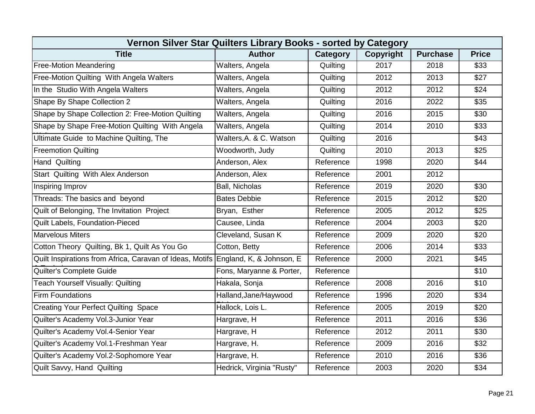| Vernon Silver Star Quilters Library Books - sorted by Category                    |                           |           |           |                 |              |  |  |  |
|-----------------------------------------------------------------------------------|---------------------------|-----------|-----------|-----------------|--------------|--|--|--|
| <b>Title</b>                                                                      | <b>Author</b>             | Category  | Copyright | <b>Purchase</b> | <b>Price</b> |  |  |  |
| <b>Free-Motion Meandering</b>                                                     | Walters, Angela           | Quilting  | 2017      | 2018            | \$33         |  |  |  |
| Free-Motion Quilting With Angela Walters                                          | Walters, Angela           | Quilting  | 2012      | 2013            | \$27         |  |  |  |
| In the Studio With Angela Walters                                                 | Walters, Angela           | Quilting  | 2012      | 2012            | \$24         |  |  |  |
| Shape By Shape Collection 2                                                       | Walters, Angela           | Quilting  | 2016      | 2022            | \$35         |  |  |  |
| Shape by Shape Collection 2: Free-Motion Quilting                                 | Walters, Angela           | Quilting  | 2016      | 2015            | \$30         |  |  |  |
| Shape by Shape Free-Motion Quilting With Angela                                   | Walters, Angela           | Quilting  | 2014      | 2010            | \$33         |  |  |  |
| Ultimate Guide to Machine Quilting, The                                           | Walters, A. & C. Watson   | Quilting  | 2016      |                 | \$43         |  |  |  |
| <b>Freemotion Quilting</b>                                                        | Woodworth, Judy           | Quilting  | 2010      | 2013            | \$25         |  |  |  |
| <b>Hand Quilting</b>                                                              | Anderson, Alex            | Reference | 1998      | 2020            | \$44         |  |  |  |
| Start Quilting With Alex Anderson                                                 | Anderson, Alex            | Reference | 2001      | 2012            |              |  |  |  |
| Inspiring Improv                                                                  | <b>Ball, Nicholas</b>     | Reference | 2019      | 2020            | \$30         |  |  |  |
| Threads: The basics and beyond                                                    | <b>Bates Debbie</b>       | Reference | 2015      | 2012            | \$20         |  |  |  |
| Quilt of Belonging, The Invitation Project                                        | Bryan, Esther             | Reference | 2005      | 2012            | \$25         |  |  |  |
| Quilt Labels, Foundation-Pieced                                                   | Causee, Linda             | Reference | 2004      | 2003            | \$20         |  |  |  |
| <b>Marvelous Miters</b>                                                           | Cleveland, Susan K        | Reference | 2009      | 2020            | \$20         |  |  |  |
| Cotton Theory Quilting, Bk 1, Quilt As You Go                                     | Cotton, Betty             | Reference | 2006      | 2014            | \$33         |  |  |  |
| Quilt Inspirations from Africa, Caravan of Ideas, Motifs England, K, & Johnson, E |                           | Reference | 2000      | 2021            | \$45         |  |  |  |
| Quilter's Complete Guide                                                          | Fons, Maryanne & Porter,  | Reference |           |                 | \$10         |  |  |  |
| <b>Teach Yourself Visually: Quilting</b>                                          | Hakala, Sonja             | Reference | 2008      | 2016            | \$10         |  |  |  |
| <b>Firm Foundations</b>                                                           | Halland, Jane/Haywood     | Reference | 1996      | 2020            | \$34         |  |  |  |
| <b>Creating Your Perfect Quilting Space</b>                                       | Hallock, Lois L.          | Reference | 2005      | 2019            | \$20         |  |  |  |
| Quilter's Academy Vol.3-Junior Year                                               | Hargrave, H               | Reference | 2011      | 2016            | \$36         |  |  |  |
| Quilter's Academy Vol.4-Senior Year                                               | Hargrave, H               | Reference | 2012      | 2011            | \$30         |  |  |  |
| Quilter's Academy Vol.1-Freshman Year                                             | Hargrave, H.              | Reference | 2009      | 2016            | \$32         |  |  |  |
| Quilter's Academy Vol.2-Sophomore Year                                            | Hargrave, H.              | Reference | 2010      | 2016            | \$36         |  |  |  |
| Quilt Savvy, Hand Quilting                                                        | Hedrick, Virginia "Rusty" | Reference | 2003      | 2020            | \$34         |  |  |  |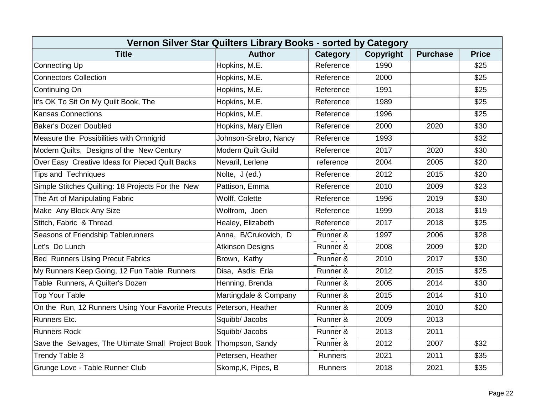| Vernon Silver Star Quilters Library Books - sorted by Category       |                           |                 |           |                 |                  |  |  |  |
|----------------------------------------------------------------------|---------------------------|-----------------|-----------|-----------------|------------------|--|--|--|
| <b>Title</b>                                                         | <b>Author</b>             | <b>Category</b> | Copyright | <b>Purchase</b> | <b>Price</b>     |  |  |  |
| <b>Connecting Up</b>                                                 | Hopkins, M.E.             | Reference       | 1990      |                 | \$25             |  |  |  |
| <b>Connectors Collection</b>                                         | Hopkins, M.E.             | Reference       | 2000      |                 | \$25             |  |  |  |
| Continuing On                                                        | Hopkins, M.E.             | Reference       | 1991      |                 | \$25             |  |  |  |
| It's OK To Sit On My Quilt Book, The                                 | Hopkins, M.E.             | Reference       | 1989      |                 | $\overline{$25}$ |  |  |  |
| <b>Kansas Connections</b>                                            | Hopkins, M.E.             | Reference       | 1996      |                 | \$25             |  |  |  |
| <b>Baker's Dozen Doubled</b>                                         | Hopkins, Mary Ellen       | Reference       | 2000      | 2020            | \$30             |  |  |  |
| Measure the Possibilities with Omnigrid                              | Johnson-Srebro, Nancy     | Reference       | 1993      |                 | \$32             |  |  |  |
| Modern Quilts, Designs of the New Century                            | <b>Modern Quilt Guild</b> | Reference       | 2017      | 2020            | \$30             |  |  |  |
| Over Easy Creative Ideas for Pieced Quilt Backs                      | Nevaril, Lerlene          | reference       | 2004      | 2005            | \$20             |  |  |  |
| <b>Tips and Techniques</b>                                           | Nolte, J (ed.)            | Reference       | 2012      | 2015            | \$20             |  |  |  |
| Simple Stitches Quilting: 18 Projects For the New                    | Pattison, Emma            | Reference       | 2010      | 2009            | \$23             |  |  |  |
| The Art of Manipulating Fabric                                       | Wolff, Colette            | Reference       | 1996      | 2019            | \$30             |  |  |  |
| Make Any Block Any Size                                              | Wolfrom, Joen             | Reference       | 1999      | 2018            | \$19             |  |  |  |
| Stitch, Fabric & Thread                                              | Healey, Elizabeth         | Reference       | 2017      | 2018            | \$25             |  |  |  |
| Seasons of Friendship Tablerunners                                   | Anna, B/Crukovich, D      | Runner &        | 1997      | 2006            | \$28             |  |  |  |
| Let's Do Lunch                                                       | <b>Atkinson Designs</b>   | Runner &        | 2008      | 2009            | \$20             |  |  |  |
| <b>Bed Runners Using Precut Fabrics</b>                              | Brown, Kathy              | Runner &        | 2010      | 2017            | \$30             |  |  |  |
| My Runners Keep Going, 12 Fun Table Runners                          | Disa, Asdis Erla          | Runner &        | 2012      | 2015            | \$25             |  |  |  |
| Table Runners, A Quilter's Dozen                                     | Henning, Brenda           | Runner &        | 2005      | 2014            | \$30             |  |  |  |
| <b>Top Your Table</b>                                                | Martingdale & Company     | Runner &        | 2015      | 2014            | \$10             |  |  |  |
| On the Run, 12 Runners Using Your Favorite Precuts Peterson, Heather |                           | Runner &        | 2009      | 2010            | \$20             |  |  |  |
| <b>Runners Etc.</b>                                                  | Squibb/ Jacobs            | Runner &        | 2009      | 2013            |                  |  |  |  |
| <b>Runners Rock</b>                                                  | Squibb/ Jacobs            | Runner &        | 2013      | 2011            |                  |  |  |  |
| Save the Selvages, The Ultimate Small Project Book                   | Thompson, Sandy           | Runner &        | 2012      | 2007            | \$32             |  |  |  |
| Trendy Table 3                                                       | Petersen, Heather         | <b>Runners</b>  | 2021      | 2011            | \$35             |  |  |  |
| Grunge Love - Table Runner Club                                      | Skomp, K, Pipes, B        | <b>Runners</b>  | 2018      | 2021            | \$35             |  |  |  |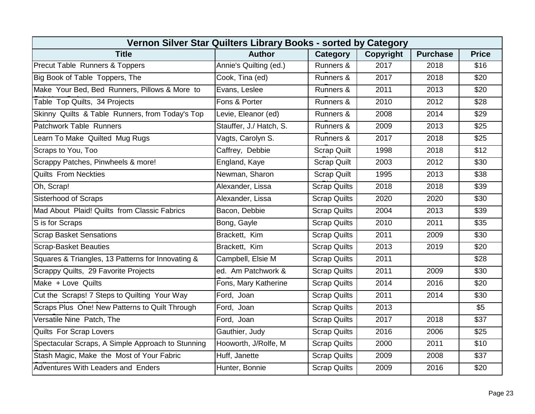| Vernon Silver Star Quilters Library Books - sorted by Category |                         |                     |           |                 |                  |  |  |  |
|----------------------------------------------------------------|-------------------------|---------------------|-----------|-----------------|------------------|--|--|--|
| <b>Title</b>                                                   | <b>Author</b>           | Category            | Copyright | <b>Purchase</b> | <b>Price</b>     |  |  |  |
| Precut Table Runners & Toppers                                 | Annie's Quilting (ed.)  | Runners &           | 2017      | 2018            | \$16             |  |  |  |
| Big Book of Table Toppers, The                                 | Cook, Tina (ed)         | Runners &           | 2017      | 2018            | \$20             |  |  |  |
| Make Your Bed, Bed Runners, Pillows & More to                  | Evans, Leslee           | Runners &           | 2011      | 2013            | \$20             |  |  |  |
| Table Top Quilts, 34 Projects                                  | Fons & Porter           | Runners &           | 2010      | 2012            | \$28             |  |  |  |
| Skinny Quilts & Table Runners, from Today's Top                | Levie, Eleanor (ed)     | Runners &           | 2008      | 2014            | \$29             |  |  |  |
| Patchwork Table Runners                                        | Stauffer, J./ Hatch, S. | Runners &           | 2009      | 2013            | \$25             |  |  |  |
| Learn To Make Quilted Mug Rugs                                 | Vagts, Carolyn S.       | Runners &           | 2017      | 2018            | \$25             |  |  |  |
| Scraps to You, Too                                             | Caffrey, Debbie         | <b>Scrap Quilt</b>  | 1998      | 2018            | \$12             |  |  |  |
| Scrappy Patches, Pinwheels & more!                             | England, Kaye           | <b>Scrap Quilt</b>  | 2003      | 2012            | \$30             |  |  |  |
| <b>Quilts From Neckties</b>                                    | Newman, Sharon          | <b>Scrap Quilt</b>  | 1995      | 2013            | \$38             |  |  |  |
| Oh, Scrap!                                                     | Alexander, Lissa        | <b>Scrap Quilts</b> | 2018      | 2018            | \$39             |  |  |  |
| Sisterhood of Scraps                                           | Alexander, Lissa        | <b>Scrap Quilts</b> | 2020      | 2020            | \$30             |  |  |  |
| Mad About Plaid! Quilts from Classic Fabrics                   | Bacon, Debbie           | <b>Scrap Quilts</b> | 2004      | 2013            | $\overline{$39}$ |  |  |  |
| S is for Scraps                                                | Bong, Gayle             | <b>Scrap Quilts</b> | 2010      | 2011            | \$35             |  |  |  |
| <b>Scrap Basket Sensations</b>                                 | Brackett, Kim           | <b>Scrap Quilts</b> | 2011      | 2009            | \$30             |  |  |  |
| <b>Scrap-Basket Beauties</b>                                   | Brackett, Kim           | <b>Scrap Quilts</b> | 2013      | 2019            | \$20             |  |  |  |
| Squares & Triangles, 13 Patterns for Innovating &              | Campbell, Elsie M       | <b>Scrap Quilts</b> | 2011      |                 | \$28             |  |  |  |
| Scrappy Quilts, 29 Favorite Projects                           | ed. Am Patchwork &      | <b>Scrap Quilts</b> | 2011      | 2009            | \$30             |  |  |  |
| Make + Love Quilts                                             | Fons, Mary Katherine    | <b>Scrap Quilts</b> | 2014      | 2016            | \$20             |  |  |  |
| Cut the Scraps! 7 Steps to Quilting Your Way                   | Ford, Joan              | <b>Scrap Quilts</b> | 2011      | 2014            | \$30             |  |  |  |
| Scraps Plus One! New Patterns to Quilt Through                 | Ford, Joan              | <b>Scrap Quilts</b> | 2013      |                 | \$5              |  |  |  |
| Versatile Nine Patch, The                                      | Ford, Joan              | <b>Scrap Quilts</b> | 2017      | 2018            | \$37             |  |  |  |
| Quilts For Scrap Lovers                                        | Gauthier, Judy          | <b>Scrap Quilts</b> | 2016      | 2006            | \$25             |  |  |  |
| Spectacular Scraps, A Simple Approach to Stunning              | Hooworth, J/Rolfe, M    | <b>Scrap Quilts</b> | 2000      | 2011            | \$10             |  |  |  |
| Stash Magic, Make the Most of Your Fabric                      | Huff, Janette           | <b>Scrap Quilts</b> | 2009      | 2008            | \$37             |  |  |  |
| <b>Adventures With Leaders and Enders</b>                      | Hunter, Bonnie          | <b>Scrap Quilts</b> | 2009      | 2016            | \$20             |  |  |  |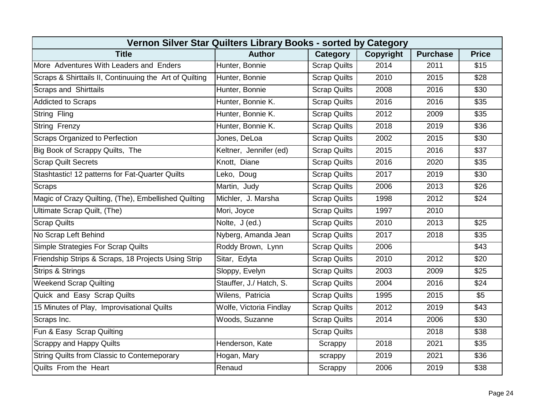| Vernon Silver Star Quilters Library Books - sorted by Category |                         |                     |                  |                 |              |  |  |  |
|----------------------------------------------------------------|-------------------------|---------------------|------------------|-----------------|--------------|--|--|--|
| <b>Title</b>                                                   | <b>Author</b>           | Category            | <b>Copyright</b> | <b>Purchase</b> | <b>Price</b> |  |  |  |
| More Adventures With Leaders and Enders                        | Hunter, Bonnie          | <b>Scrap Quilts</b> | 2014             | 2011            | \$15         |  |  |  |
| Scraps & Shirttails II, Continuuing the Art of Quilting        | Hunter, Bonnie          | <b>Scrap Quilts</b> | 2010             | 2015            | \$28         |  |  |  |
| <b>Scraps and Shirttails</b>                                   | Hunter, Bonnie          | <b>Scrap Quilts</b> | 2008             | 2016            | \$30         |  |  |  |
| <b>Addicted to Scraps</b>                                      | Hunter, Bonnie K.       | <b>Scrap Quilts</b> | 2016             | 2016            | \$35         |  |  |  |
| String Fling                                                   | Hunter, Bonnie K.       | <b>Scrap Quilts</b> | 2012             | 2009            | \$35         |  |  |  |
| <b>String Frenzy</b>                                           | Hunter, Bonnie K.       | <b>Scrap Quilts</b> | 2018             | 2019            | \$36         |  |  |  |
| Scraps Organized to Perfection                                 | Jones, DeLoa            | <b>Scrap Quilts</b> | 2002             | 2015            | \$30         |  |  |  |
| Big Book of Scrappy Quilts, The                                | Keltner, Jennifer (ed)  | <b>Scrap Quilts</b> | 2015             | 2016            | \$37         |  |  |  |
| <b>Scrap Quilt Secrets</b>                                     | Knott, Diane            | <b>Scrap Quilts</b> | 2016             | 2020            | \$35         |  |  |  |
| Stashtastic! 12 patterns for Fat-Quarter Quilts                | Leko, Doug              | <b>Scrap Quilts</b> | 2017             | 2019            | \$30         |  |  |  |
| <b>Scraps</b>                                                  | Martin, Judy            | <b>Scrap Quilts</b> | 2006             | 2013            | \$26         |  |  |  |
| Magic of Crazy Quilting, (The), Embellished Quilting           | Michler, J. Marsha      | <b>Scrap Quilts</b> | 1998             | 2012            | \$24         |  |  |  |
| Ultimate Scrap Quilt, (The)                                    | Mori, Joyce             | <b>Scrap Quilts</b> | 1997             | 2010            |              |  |  |  |
| <b>Scrap Quilts</b>                                            | Nolte, J (ed.)          | <b>Scrap Quilts</b> | 2010             | 2013            | \$25         |  |  |  |
| No Scrap Left Behind                                           | Nyberg, Amanda Jean     | <b>Scrap Quilts</b> | 2017             | 2018            | \$35         |  |  |  |
| Simple Strategies For Scrap Quilts                             | Roddy Brown, Lynn       | <b>Scrap Quilts</b> | 2006             |                 | \$43         |  |  |  |
| Friendship Strips & Scraps, 18 Projects Using Strip            | Sitar, Edyta            | <b>Scrap Quilts</b> | 2010             | 2012            | \$20         |  |  |  |
| <b>Strips &amp; Strings</b>                                    | Sloppy, Evelyn          | <b>Scrap Quilts</b> | 2003             | 2009            | \$25         |  |  |  |
| <b>Weekend Scrap Quilting</b>                                  | Stauffer, J./ Hatch, S. | <b>Scrap Quilts</b> | 2004             | 2016            | \$24         |  |  |  |
| Quick and Easy Scrap Quilts                                    | Wilens, Patricia        | <b>Scrap Quilts</b> | 1995             | 2015            | \$5          |  |  |  |
| 15 Minutes of Play, Improvisational Quilts                     | Wolfe, Victoria Findlay | <b>Scrap Quilts</b> | 2012             | 2019            | \$43         |  |  |  |
| Scraps Inc.                                                    | Woods, Suzanne          | <b>Scrap Quilts</b> | 2014             | 2006            | \$30         |  |  |  |
| Fun & Easy Scrap Quilting                                      |                         | <b>Scrap Quilts</b> |                  | 2018            | \$38         |  |  |  |
| <b>Scrappy and Happy Quilts</b>                                | Henderson, Kate         | Scrappy             | 2018             | 2021            | \$35         |  |  |  |
| String Quilts from Classic to Contemeporary                    | Hogan, Mary             | scrappy             | 2019             | 2021            | \$36         |  |  |  |
| Quilts From the Heart                                          | Renaud                  | Scrappy             | 2006             | 2019            | \$38         |  |  |  |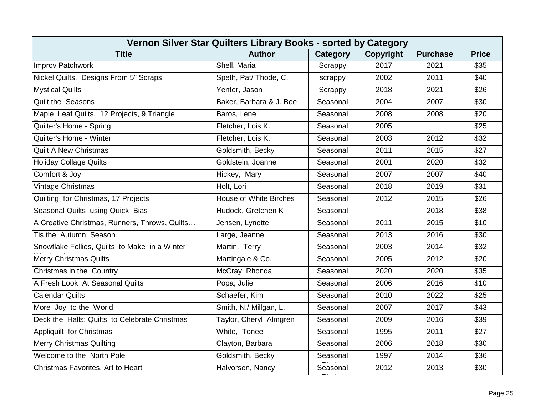| Vernon Silver Star Quilters Library Books - sorted by Category |                               |          |           |                 |              |  |
|----------------------------------------------------------------|-------------------------------|----------|-----------|-----------------|--------------|--|
| <b>Title</b>                                                   | <b>Author</b>                 | Category | Copyright | <b>Purchase</b> | <b>Price</b> |  |
| Improv Patchwork                                               | Shell, Maria                  | Scrappy  | 2017      | 2021            | \$35         |  |
| Nickel Quilts, Designs From 5" Scraps                          | Speth, Pat/ Thode, C.         | scrappy  | 2002      | 2011            | \$40         |  |
| <b>Mystical Quilts</b>                                         | Yenter, Jason                 | Scrappy  | 2018      | 2021            | \$26         |  |
| <b>Quilt the Seasons</b>                                       | Baker, Barbara & J. Boe       | Seasonal | 2004      | 2007            | \$30         |  |
| Maple Leaf Quilts, 12 Projects, 9 Triangle                     | Baros, Ilene                  | Seasonal | 2008      | 2008            | \$20         |  |
| Quilter's Home - Spring                                        | Fletcher, Lois K.             | Seasonal | 2005      |                 | \$25         |  |
| Quilter's Home - Winter                                        | Fletcher, Lois K.             | Seasonal | 2003      | 2012            | \$32         |  |
| <b>Quilt A New Christmas</b>                                   | Goldsmith, Becky              | Seasonal | 2011      | 2015            | \$27         |  |
| <b>Holiday Collage Quilts</b>                                  | Goldstein, Joanne             | Seasonal | 2001      | 2020            | \$32         |  |
| Comfort & Joy                                                  | Hickey, Mary                  | Seasonal | 2007      | 2007            | \$40         |  |
| Vintage Christmas                                              | Holt, Lori                    | Seasonal | 2018      | 2019            | \$31         |  |
| Quilting for Christmas, 17 Projects                            | <b>House of White Birches</b> | Seasonal | 2012      | 2015            | \$26         |  |
| Seasonal Quilts using Quick Bias                               | Hudock, Gretchen K            | Seasonal |           | 2018            | \$38         |  |
| A Creative Christmas, Runners, Throws, Quilts                  | Jensen, Lynette               | Seasonal | 2011      | 2015            | \$10         |  |
| Tis the Autumn Season                                          | Large, Jeanne                 | Seasonal | 2013      | 2016            | \$30         |  |
| Snowflake Follies, Quilts to Make in a Winter                  | Martin, Terry                 | Seasonal | 2003      | 2014            | \$32         |  |
| <b>Merry Christmas Quilts</b>                                  | Martingale & Co.              | Seasonal | 2005      | 2012            | \$20         |  |
| Christmas in the Country                                       | McCray, Rhonda                | Seasonal | 2020      | 2020            | \$35         |  |
| A Fresh Look At Seasonal Quilts                                | Popa, Julie                   | Seasonal | 2006      | 2016            | \$10         |  |
| <b>Calendar Quilts</b>                                         | Schaefer, Kim                 | Seasonal | 2010      | 2022            | \$25         |  |
| More Joy to the World                                          | Smith, N./ Millgan, L.        | Seasonal | 2007      | 2017            | \$43         |  |
| Deck the Halls: Quilts to Celebrate Christmas                  | Taylor, Cheryl Almgren        | Seasonal | 2009      | 2016            | \$39         |  |
| Appliquilt for Christmas                                       | White, Tonee                  | Seasonal | 1995      | 2011            | \$27         |  |
| <b>Merry Christmas Quilting</b>                                | Clayton, Barbara              | Seasonal | 2006      | 2018            | \$30         |  |
| Welcome to the North Pole                                      | Goldsmith, Becky              | Seasonal | 1997      | 2014            | \$36         |  |
| Christmas Favorites, Art to Heart                              | Halvorsen, Nancy              | Seasonal | 2012      | 2013            | \$30         |  |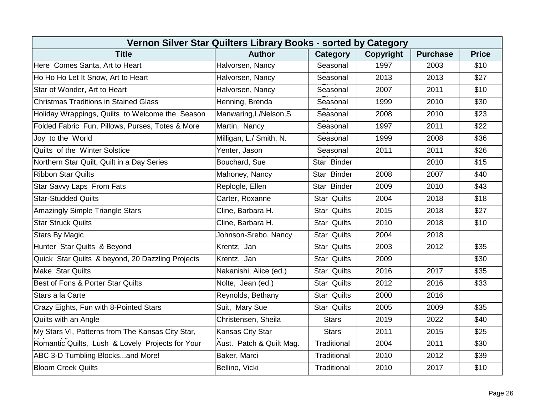| Vernon Silver Star Quilters Library Books - sorted by Category |                          |                    |                  |                 |                  |  |
|----------------------------------------------------------------|--------------------------|--------------------|------------------|-----------------|------------------|--|
| <b>Title</b>                                                   | <b>Author</b>            | Category           | <b>Copyright</b> | <b>Purchase</b> | <b>Price</b>     |  |
| Here Comes Santa, Art to Heart                                 | Halvorsen, Nancy         | Seasonal           | 1997             | 2003            | \$10             |  |
| Ho Ho Ho Let It Snow, Art to Heart                             | Halvorsen, Nancy         | Seasonal           | 2013             | 2013            | \$27             |  |
| Star of Wonder, Art to Heart                                   | Halvorsen, Nancy         | Seasonal           | 2007             | 2011            | \$10             |  |
| Christmas Traditions in Stained Glass                          | Henning, Brenda          | Seasonal           | 1999             | 2010            | \$30             |  |
| Holiday Wrappings, Quilts to Welcome the Season                | Manwaring, L/Nelson, S   | Seasonal           | 2008             | 2010            | \$23             |  |
| Folded Fabric Fun, Pillows, Purses, Totes & More               | Martin, Nancy            | Seasonal           | 1997             | 2011            | \$22             |  |
| Joy to the World                                               | Milligan, L./ Smith, N.  | Seasonal           | 1999             | 2008            | \$36             |  |
| Quilts of the Winter Solstice                                  | Yenter, Jason            | Seasonal           | 2011             | 2011            | \$26             |  |
| Northern Star Quilt, Quilt in a Day Series                     | Bouchard, Sue            | Star Binder        |                  | 2010            | \$15             |  |
| <b>Ribbon Star Quilts</b>                                      | Mahoney, Nancy           | Star Binder        | 2008             | 2007            | $\overline{$40}$ |  |
| Star Savvy Laps From Fats                                      | Replogle, Ellen          | Star Binder        | 2009             | 2010            | \$43             |  |
| <b>Star-Studded Quilts</b>                                     | Carter, Roxanne          | <b>Star Quilts</b> | 2004             | 2018            | \$18             |  |
| Amazingly Simple Triangle Stars                                | Cline, Barbara H.        | <b>Star Quilts</b> | 2015             | 2018            | \$27             |  |
| <b>Star Struck Quilts</b>                                      | Cline, Barbara H.        | <b>Star Quilts</b> | 2010             | 2018            | \$10             |  |
| <b>Stars By Magic</b>                                          | Johnson-Srebo, Nancy     | <b>Star Quilts</b> | 2004             | 2018            |                  |  |
| Hunter Star Quilts & Beyond                                    | Krentz, Jan              | <b>Star Quilts</b> | 2003             | 2012            | \$35             |  |
| Quick Star Quilts & beyond, 20 Dazzling Projects               | Krentz, Jan              | <b>Star Quilts</b> | 2009             |                 | \$30             |  |
| <b>Make Star Quilts</b>                                        | Nakanishi, Alice (ed.)   | <b>Star Quilts</b> | 2016             | 2017            | \$35             |  |
| Best of Fons & Porter Star Quilts                              | Nolte, Jean (ed.)        | <b>Star Quilts</b> | 2012             | 2016            | \$33             |  |
| Stars a la Carte                                               | Reynolds, Bethany        | <b>Star Quilts</b> | 2000             | 2016            |                  |  |
| Crazy Eights, Fun with 8-Pointed Stars                         | Suit, Mary Sue           | <b>Star Quilts</b> | 2005             | 2009            | \$35             |  |
| Quilts with an Angle                                           | Christensen, Sheila      | <b>Stars</b>       | 2019             | 2022            | \$40             |  |
| My Stars VI, Patterns from The Kansas City Star,               | Kansas City Star         | <b>Stars</b>       | 2011             | 2015            | \$25             |  |
| Romantic Quilts, Lush & Lovely Projects for Your               | Aust. Patch & Quilt Mag. | Traditional        | 2004             | 2011            | \$30             |  |
| ABC 3-D Tumbling Blocksand More!                               | Baker, Marci             | Traditional        | 2010             | 2012            | \$39             |  |
| <b>Bloom Creek Quilts</b>                                      | Bellino, Vicki           | Traditional        | 2010             | 2017            | \$10             |  |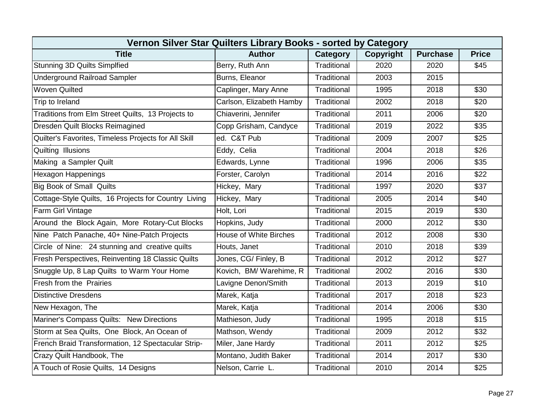| Vernon Silver Star Quilters Library Books - sorted by Category |                               |             |           |                 |                  |  |
|----------------------------------------------------------------|-------------------------------|-------------|-----------|-----------------|------------------|--|
| <b>Title</b>                                                   | <b>Author</b>                 | Category    | Copyright | <b>Purchase</b> | <b>Price</b>     |  |
| <b>Stunning 3D Quilts Simplfied</b>                            | Berry, Ruth Ann               | Traditional | 2020      | 2020            | \$45             |  |
| <b>Underground Railroad Sampler</b>                            | Burns, Eleanor                | Traditional | 2003      | 2015            |                  |  |
| <b>Woven Quilted</b>                                           | Caplinger, Mary Anne          | Traditional | 1995      | 2018            | \$30             |  |
| Trip to Ireland                                                | Carlson, Elizabeth Hamby      | Traditional | 2002      | 2018            | \$20             |  |
| Traditions from Elm Street Quilts, 13 Projects to              | Chiaverini, Jennifer          | Traditional | 2011      | 2006            | \$20             |  |
| Dresden Quilt Blocks Reimagined                                | Copp Grisham, Candyce         | Traditional | 2019      | 2022            | \$35             |  |
| Quilter's Favorites, Timeless Projects for All Skill           | ed. C&T Pub                   | Traditional | 2009      | 2007            | \$25             |  |
| Quilting Illusions                                             | Eddy, Celia                   | Traditional | 2004      | 2018            | \$26             |  |
| Making a Sampler Quilt                                         | Edwards, Lynne                | Traditional | 1996      | 2006            | \$35             |  |
| <b>Hexagon Happenings</b>                                      | Forster, Carolyn              | Traditional | 2014      | 2016            | $\overline{$22}$ |  |
| <b>Big Book of Small Quilts</b>                                | Hickey, Mary                  | Traditional | 1997      | 2020            | \$37             |  |
| Cottage-Style Quilts, 16 Projects for Country Living           | Hickey, Mary                  | Traditional | 2005      | 2014            | \$40             |  |
| Farm Girl Vintage                                              | Holt, Lori                    | Traditional | 2015      | 2019            | \$30             |  |
| Around the Block Again, More Rotary-Cut Blocks                 | Hopkins, Judy                 | Traditional | 2000      | 2012            | \$30             |  |
| Nine Patch Panache, 40+ Nine-Patch Projects                    | <b>House of White Birches</b> | Traditional | 2012      | 2008            | \$30             |  |
| Circle of Nine: 24 stunning and creative quilts                | Houts, Janet                  | Traditional | 2010      | 2018            | \$39             |  |
| Fresh Perspectives, Reinventing 18 Classic Quilts              | Jones, CG/ Finley, B          | Traditional | 2012      | 2012            | \$27             |  |
| Snuggle Up, 8 Lap Quilts to Warm Your Home                     | Kovich, BM/ Warehime, R       | Traditional | 2002      | 2016            | \$30             |  |
| <b>Fresh from the Prairies</b>                                 | Lavigne Denon/Smith           | Traditional | 2013      | 2019            | \$10             |  |
| <b>Distinctive Dresdens</b>                                    | Marek, Katja                  | Traditional | 2017      | 2018            | \$23             |  |
| New Hexagon, The                                               | Marek, Katja                  | Traditional | 2014      | 2006            | \$30             |  |
| Mariner's Compass Quilts: New Directions                       | Mathieson, Judy               | Traditional | 1995      | 2018            | \$15             |  |
| Storm at Sea Quilts, One Block, An Ocean of                    | Mathson, Wendy                | Traditional | 2009      | 2012            | \$32             |  |
| French Braid Transformation, 12 Spectacular Strip-             | Miler, Jane Hardy             | Traditional | 2011      | 2012            | \$25             |  |
| Crazy Quilt Handbook, The                                      | Montano, Judith Baker         | Traditional | 2014      | 2017            | \$30             |  |
| A Touch of Rosie Quilts, 14 Designs                            | Nelson, Carrie L.             | Traditional | 2010      | 2014            | \$25             |  |